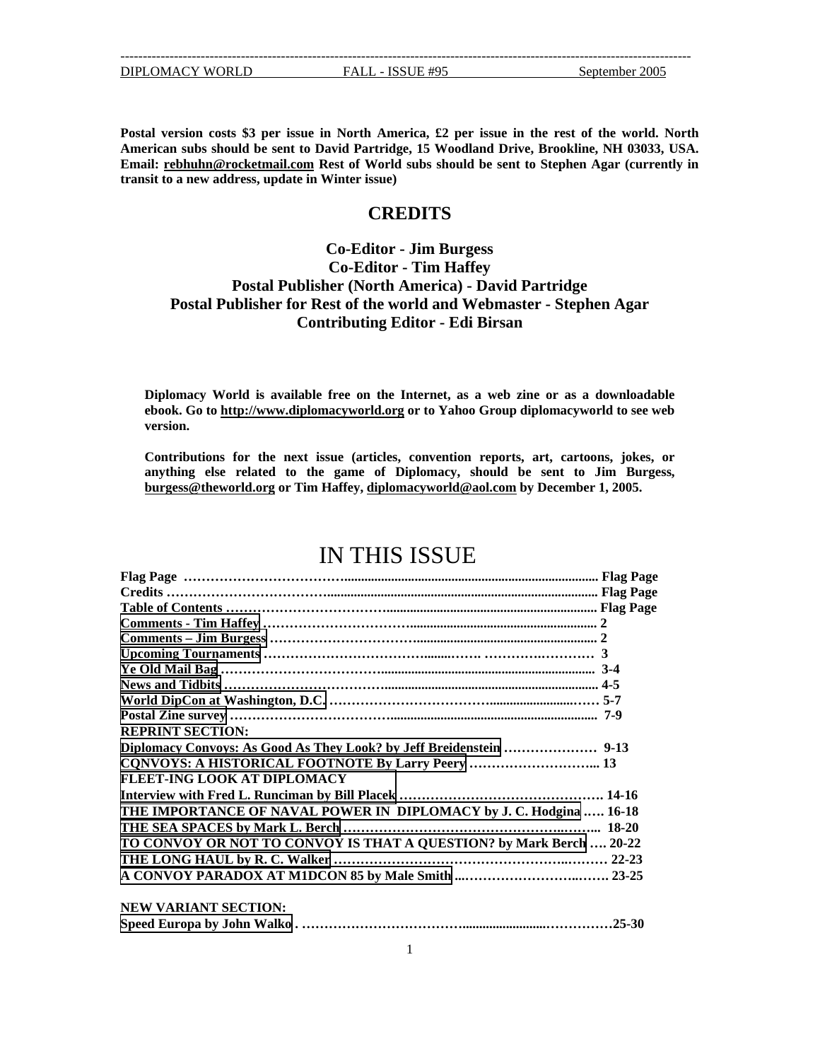**Postal version costs \$3 per issue in North America, £2 per issue in the rest of the world. North American subs should be sent to David Partridge, 15 Woodland Drive, Brookline, NH 03033, USA. Email: [rebhuhn@rocketmail.com](mailto:rebhuhn@rocketmail.com) Rest of World subs should be sent to Stephen Agar (currently in transit to a new address, update in Winter issue)** 

## **CREDITS**

## **Co-Editor - Jim Burgess Co-Editor - Tim Haffey Postal Publisher (North America) - David Partridge Postal Publisher for Rest of the world and Webmaster - Stephen Agar Contributing Editor - Edi Birsan**

**Diplomacy World is available free on the Internet, as a web zine or as a downloadable ebook. Go to [http://www.diplomacyworld.org](http://www.diplomacyworld.org/) or to Yahoo Group diplomacyworld to see web version.** 

**Contributions for the next issue (articles, convention reports, art, cartoons, jokes, or anything else related to the game of Diplomacy, should be sent to Jim Burgess, [burgess@theworld.org](mailto:burgess@theworld.org) or Tim Haffey, [diplomacyworld@aol.com](mailto:diplomacyworld@aol.com) by December 1, 2005.** 

# IN THIS ISSUE

| <b>REPRINT SECTION:</b>                                             |            |
|---------------------------------------------------------------------|------------|
|                                                                     |            |
| CQNVOYS: A HISTORICAL FOOTNOTE By Larry Peery  13                   |            |
| <b>FLEET-ING LOOK AT DIPLOMACY</b>                                  |            |
|                                                                     |            |
| THE IMPORTANCE OF NAVAL POWER IN DIPLOMACY by J. C. Hodgina  16-18  |            |
|                                                                     |            |
| TO CONVOY OR NOT TO CONVOY IS THAT A QUESTION? by Mark Berch  20-22 |            |
|                                                                     |            |
|                                                                     |            |
| <b>NEW VARIANT SECTION:</b>                                         |            |
|                                                                     | $.25 - 30$ |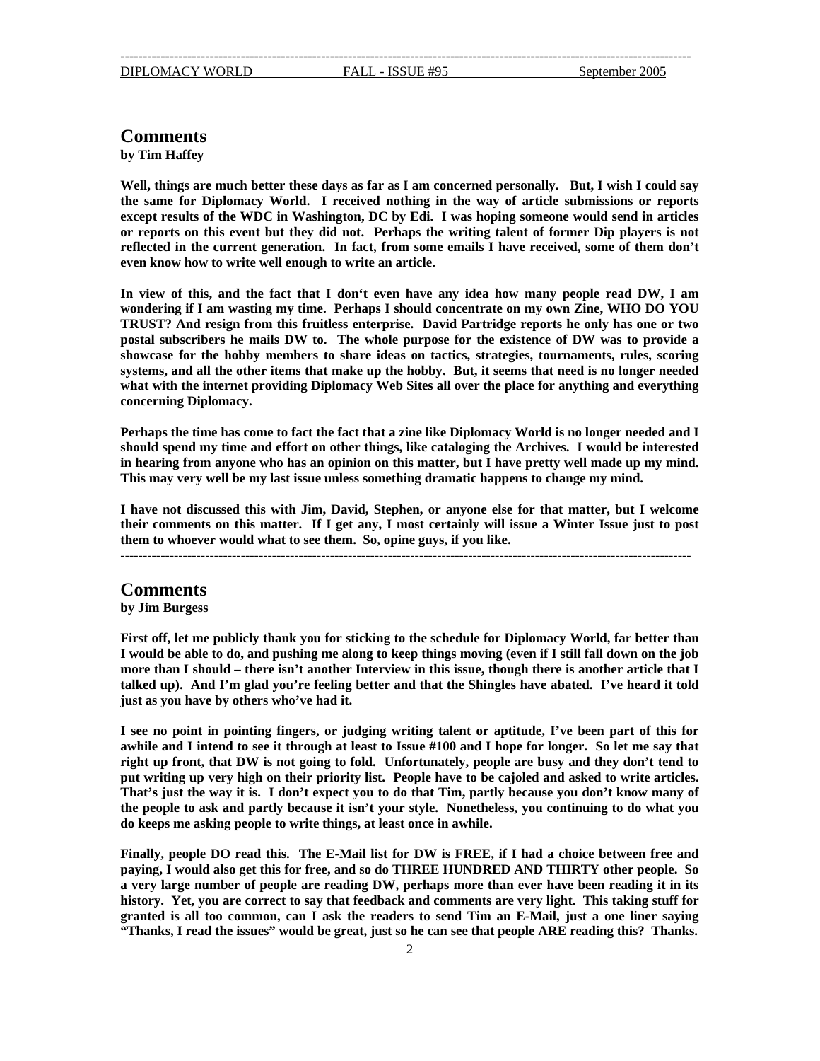## <span id="page-1-0"></span>**Comments**

**by Tim Haffey** 

**Well, things are much better these days as far as I am concerned personally. But, I wish I could say the same for Diplomacy World. I received nothing in the way of article submissions or reports except results of the WDC in Washington, DC by Edi. I was hoping someone would send in articles or reports on this event but they did not. Perhaps the writing talent of former Dip players is not reflected in the current generation. In fact, from some emails I have received, some of them don't even know how to write well enough to write an article.** 

**In view of this, and the fact that I don't even have any idea how many people read DW, I am wondering if I am wasting my time. Perhaps I should concentrate on my own Zine, WHO DO YOU TRUST? And resign from this fruitless enterprise. David Partridge reports he only has one or two postal subscribers he mails DW to. The whole purpose for the existence of DW was to provide a showcase for the hobby members to share ideas on tactics, strategies, tournaments, rules, scoring systems, and all the other items that make up the hobby. But, it seems that need is no longer needed what with the internet providing Diplomacy Web Sites all over the place for anything and everything concerning Diplomacy.** 

**Perhaps the time has come to fact the fact that a zine like Diplomacy World is no longer needed and I should spend my time and effort on other things, like cataloging the Archives. I would be interested in hearing from anyone who has an opinion on this matter, but I have pretty well made up my mind. This may very well be my last issue unless something dramatic happens to change my mind.** 

**I have not discussed this with Jim, David, Stephen, or anyone else for that matter, but I welcome their comments on this matter. If I get any, I most certainly will issue a Winter Issue just to post them to whoever would what to see them. So, opine guys, if you like.**

--------------------------------------------------------------------------------------------------------------------------------

### **Comments**

**by Jim Burgess**

**First off, let me publicly thank you for sticking to the schedule for Diplomacy World, far better than I would be able to do, and pushing me along to keep things moving (even if I still fall down on the job more than I should – there isn't another Interview in this issue, though there is another article that I talked up). And I'm glad you're feeling better and that the Shingles have abated. I've heard it told just as you have by others who've had it.** 

**I see no point in pointing fingers, or judging writing talent or aptitude, I've been part of this for awhile and I intend to see it through at least to Issue #100 and I hope for longer. So let me say that right up front, that DW is not going to fold. Unfortunately, people are busy and they don't tend to put writing up very high on their priority list. People have to be cajoled and asked to write articles. That's just the way it is. I don't expect you to do that Tim, partly because you don't know many of the people to ask and partly because it isn't your style. Nonetheless, you continuing to do what you do keeps me asking people to write things, at least once in awhile.** 

**Finally, people DO read this. The E-Mail list for DW is FREE, if I had a choice between free and paying, I would also get this for free, and so do THREE HUNDRED AND THIRTY other people. So a very large number of people are reading DW, perhaps more than ever have been reading it in its history. Yet, you are correct to say that feedback and comments are very light. This taking stuff for granted is all too common, can I ask the readers to send Tim an E-Mail, just a one liner saying "Thanks, I read the issues" would be great, just so he can see that people ARE reading this? Thanks.**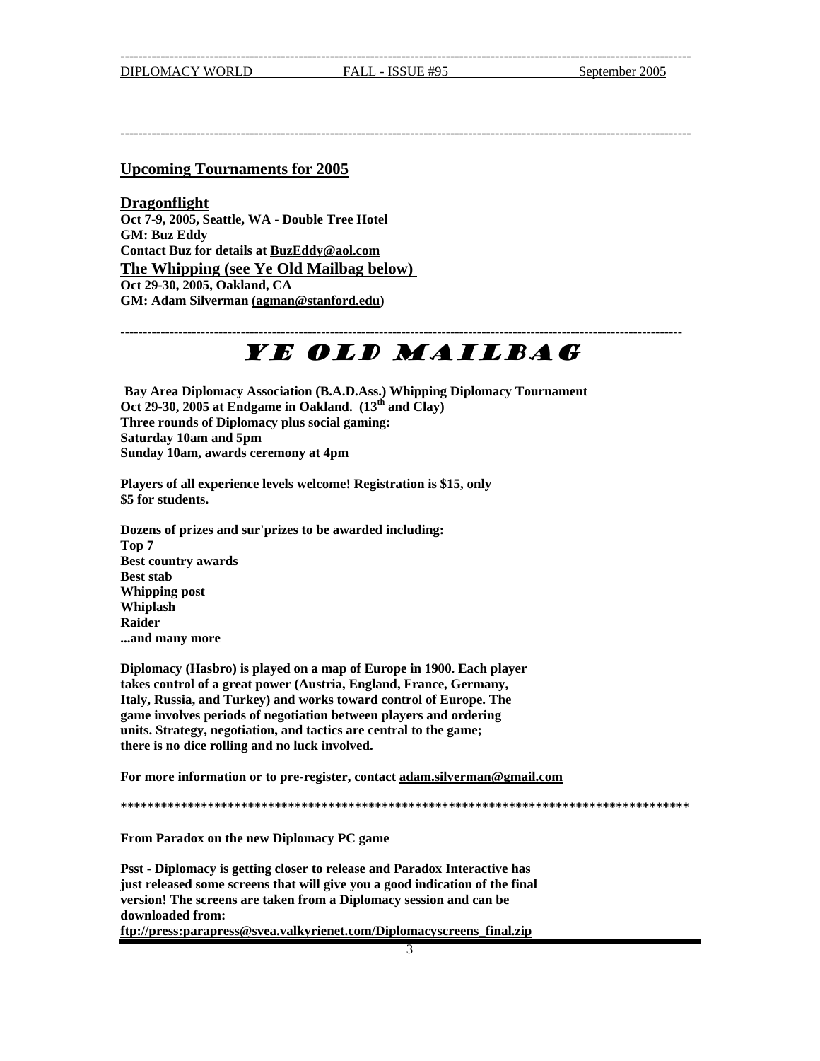<span id="page-2-1"></span><span id="page-2-0"></span>--------------------------------------------------------------------------------------------------------------------------------

### **Upcoming Tournaments for 2005**

**Dragonflight Oct 7-9, 2005, Seattle, WA - Double Tree Hotel GM: Buz Eddy Contact Buz for details at [BuzEddy@aol.com](mailto:BuzEddy@aol.com) The Whipping (see Ye Old Mailbag below) Oct 29-30, 2005, Oakland, CA GM: Adam Silverman [\(agman@stanford.edu\)](mailto:(agman@stanford.edu)** 

# YE OLD MAILBAG

**------------------------------------------------------------------------------------------------------------------------------**

**Bay Area Diplomacy Association (B.A.D.Ass.) Whipping Diplomacy Tournament Oct 29-30, 2005 at Endgame in Oakland. (13th and Clay) Three rounds of Diplomacy plus social gaming: Saturday 10am and 5pm Sunday 10am, awards ceremony at 4pm**

**Players of all experience levels welcome! Registration is \$15, only \$5 for students.** 

**Dozens of prizes and sur'prizes to be awarded including: Top 7 Best country awards Best stab Whipping post Whiplash Raider ...and many more** 

**Diplomacy (Hasbro) is played on a map of Europe in 1900. Each player takes control of a great power (Austria, England, France, Germany, Italy, Russia, and Turkey) and works toward control of Europe. The game involves periods of negotiation between players and ordering units. Strategy, negotiation, and tactics are central to the game; there is no dice rolling and no luck involved.** 

**For more information or to pre-register, contact [adam.silverman@gmail.com](mailto:adam.silverman@gmail.com)**

**\*\*\*\*\*\*\*\*\*\*\*\*\*\*\*\*\*\*\*\*\*\*\*\*\*\*\*\*\*\*\*\*\*\*\*\*\*\*\*\*\*\*\*\*\*\*\*\*\*\*\*\*\*\*\*\*\*\*\*\*\*\*\*\*\*\*\*\*\*\*\*\*\*\*\*\*\*\*\*\*\*\*\*\*\***

**From Paradox on the new Diplomacy PC game** 

**Psst - Diplomacy is getting closer to release and Paradox Interactive has just released some screens that will give you a good indication of the final version! The screens are taken from a Diplomacy session and can be downloaded from:** 

**ftp://press:parapress@svea.valkyrienet.com/Diplomacyscreens\_final.zip**

3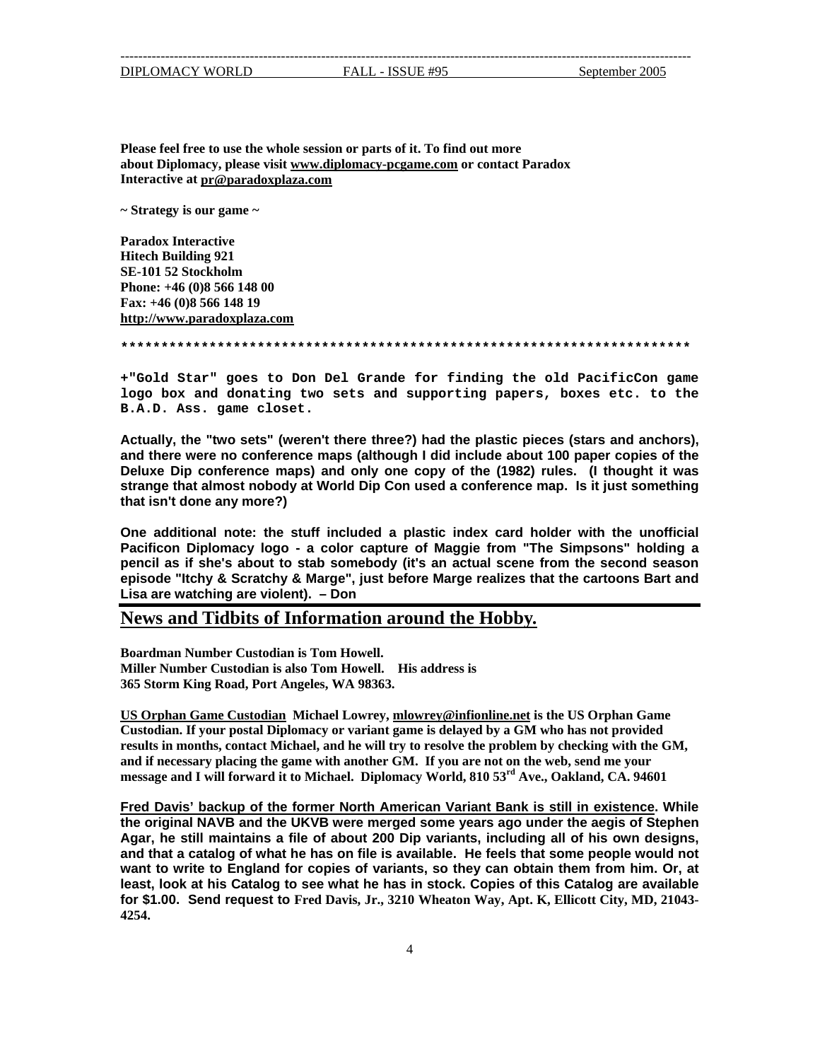DIPLOMACY WORLD FALL - ISSUE #95 September 2005

<span id="page-3-0"></span>--------------------------------------------------------------------------------------------------------------------------------

**Please feel free to use the whole session or parts of it. To find out more about Diplomacy, please visit www.diplomacy-pcgame.com or contact Paradox Interactive at pr@paradoxplaza.com**

**~ Strategy is our game ~** 

**Paradox Interactive Hitech Building 921 SE-101 52 Stockholm Phone: +46 (0)8 566 148 00 Fax: +46 (0)8 566 148 19 http://www.paradoxplaza.com**

**\*\*\*\*\*\*\*\*\*\*\*\*\*\*\*\*\*\*\*\*\*\*\*\*\*\*\*\*\*\*\*\*\*\*\*\*\*\*\*\*\*\*\*\*\*\*\*\*\*\*\*\*\*\*\*\*\*\*\*\*\*\*\*\*\*\*\*\*\*\*\***

**+"Gold Star" goes to Don Del Grande for finding the old PacificCon game logo box and donating two sets and supporting papers, boxes etc. to the B.A.D. Ass. game closet.**

**Actually, the "two sets" (weren't there three?) had the plastic pieces (stars and anchors), and there were no conference maps (although I did include about 100 paper copies of the Deluxe Dip conference maps) and only one copy of the (1982) rules. (I thought it was strange that almost nobody at World Dip Con used a conference map. Is it just something that isn't done any more?)** 

**One additional note: the stuff included a plastic index card holder with the unofficial Pacificon Diplomacy logo - a color capture of Maggie from "The Simpsons" holding a pencil as if she's about to stab somebody (it's an actual scene from the second season episode "Itchy & Scratchy & Marge", just before Marge realizes that the cartoons Bart and Lisa are watching are violent). – Don** 

### **News and Tidbits of Information around the Hobby.**

**Miller Number Custodian is also Tom Howell. His address is Boardman Number Custodian is Tom Howell. 365 Storm King Road, Port Angeles, WA 98363.**

**US Orphan Game Custodian Michael Lowrey, mlowrey@infionline.net is the US Orphan Game , results in months, contact Michael, and he will try to resolve the problem by checking with the GM Custodian. If your postal Diplomacy or variant game is delayed by a GM who has not provided and if necessary placing the game with another GM. If you are not on the web, send me your message and I will forward it to Michael. Diplomacy World, 810 53rd Ave., Oakland, CA. 94601**

**Fred Davis' backup of the former North American Variant Bank is still in existence. While the original NAVB and the UKVB were merged some years ago under the aegis of Stephen Agar, he still maintains a file of about 200 Dip variants, including all of his own designs, and that a catalog of what he has on file is available. He feels that some people would not want to write to England for copies of variants, so they can obtain them from him. Or, at least, look at his Catalog to see what he has in stock. Copies of this Catalog are available for \$1.00. Send request to Fred Davis, Jr., 3210 Wheaton Way, Apt. K, Ellicott City, MD, 21043- 4254.**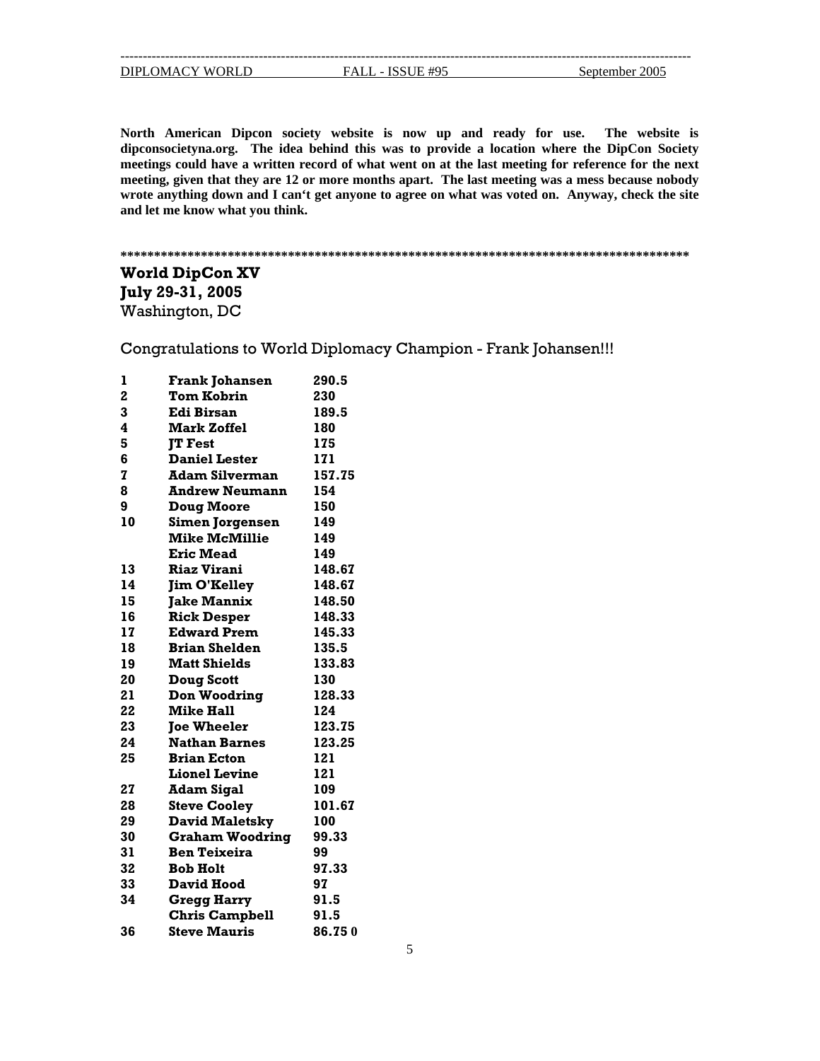<span id="page-4-0"></span>

| DIPLOMACY WORLD |  |  |
|-----------------|--|--|
|                 |  |  |

D FALL - ISSUE #95 September 2005

--------------------------------------------------------------------------------------------------------------------------------

North American Dipcon society website is now up and ready for use. The website is dipconsocietyna.org. The idea behind this was to provide a location where the DipCon Society **meetings could have a written record of what went on at the last meeting for reference for the next meeting, given that they are 12 or more months apart. The last meeting was a mess because nobody wrote anything down and I can't get anyone to agree on what was voted on. Anyway, check the site and let me know what you think.** 

## **\*\*\*\*\*\*\*\*\*\*\*\*\*\*\*\*\*\*\*\*\*\*\*\*\*\*\*\*\*\*\*\*\*\*\*\*\*\*\*\*\*\*\*\*\*\*\*\*\*\*\*\*\*\*\*\*\*\*\*\*\*\*\*\*\*\*\*\*\*\*\*\*\*\*\*\*\*\*\*\*\*\*\*\* \***

## **orld DipCon XV W July 29-31, 2005** Washington, DC

Congratulations to World Diplomacy Champion - Frank Johansen!!!

| ı              | <b>Frank Johansen</b>  | 290.5  |
|----------------|------------------------|--------|
| $\overline{a}$ | <b>Tom Kobrin</b>      | 230    |
| 3              | <b>Edi Birsan</b>      | 189.5  |
| 4              | <b>Mark Zoffel</b>     | 180    |
| 5              | <b>TT Fest</b>         | 175    |
| 6              | <b>Daniel Lester</b>   | 171    |
| 7              | <b>Adam Silverman</b>  | 157.75 |
| 8              | <b>Andrew Neumann</b>  | 154    |
| 9              | <b>Doug Moore</b>      | 150    |
| 10             | <b>Simen Jorgensen</b> | 149    |
|                | <b>Mike McMillie</b>   | 149    |
|                | <b>Eric Mead</b>       | 149    |
| 13             | <b>Riaz Virani</b>     | 148.67 |
| 14             | <b>Jim O'Kelley</b>    | 148.67 |
| 15             | <b>Jake Mannix</b>     | 148.50 |
| 16             | <b>Rick Desper</b>     | 148.33 |
| 17             | <b>Edward Prem</b>     | 145.33 |
| 18             | <b>Brian Shelden</b>   | 135.5  |
| 19             | <b>Matt Shields</b>    | 133.83 |
| 20             | <b>Doug Scott</b>      | 130    |
| 21             | <b>Don Woodring</b>    | 128.33 |
| 22             | <b>Mike Hall</b>       | 124    |
| 23             | <b>Toe Wheeler</b>     | 123.75 |
| 24             | <b>Nathan Barnes</b>   | 123.25 |
| 25             | <b>Brian Ecton</b>     | 121    |
|                | <b>Lionel Levine</b>   | 121    |
| 27             | <b>Adam Sigal</b>      | 109    |
| 28             | <b>Steve Cooley</b>    | 101.67 |
| 29             | <b>David Maletsky</b>  | 100    |
| 30             | <b>Graham Woodring</b> | 99.33  |
| 31             | <b>Ben Teixeira</b>    | 99     |
| 32             | <b>Bob Holt</b>        | 97.33  |
| 33             | <b>David Hood</b>      | 97     |
| 34             | <b>Gregg Harry</b>     | 91.5   |
|                | <b>Chris Campbell</b>  | 91.5   |
| 36             | <b>Steve Mauris</b>    | 86.750 |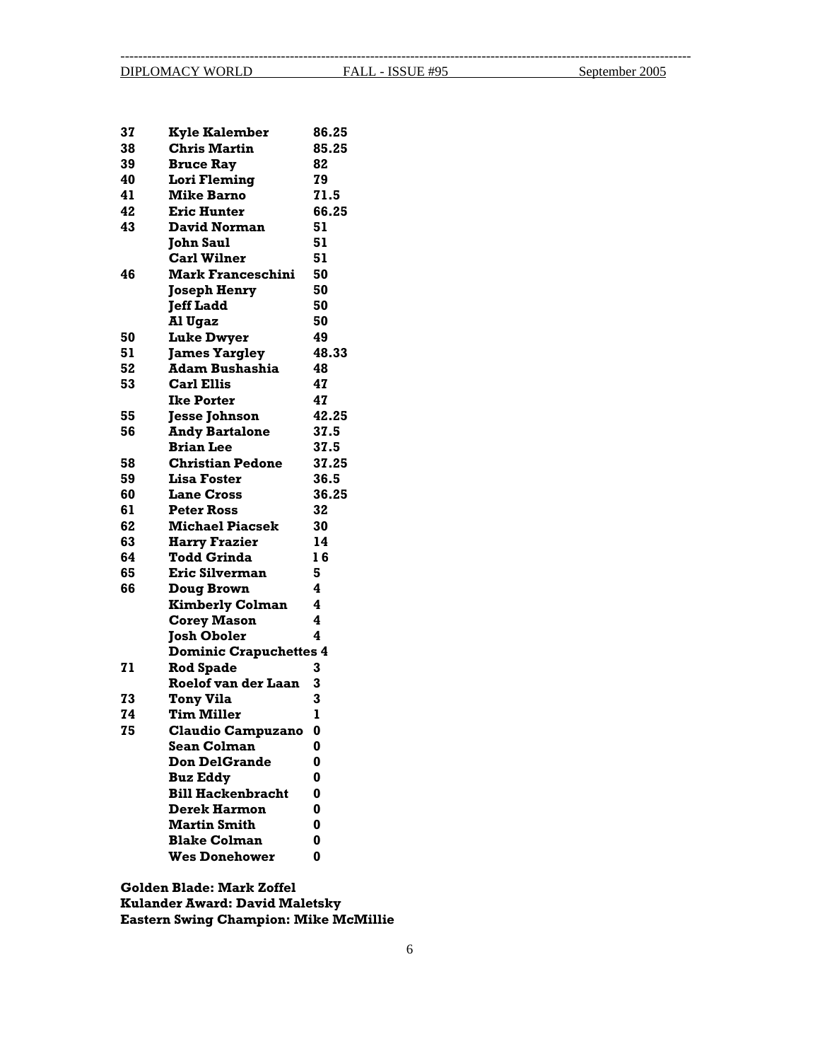--------------------------------------------------------------------------------------------------------------------------------

| 37 | <b>Kyle Kalember</b>          | 86.25 |
|----|-------------------------------|-------|
| 38 | <b>Chris Martin</b>           | 85.25 |
| 39 | <b>Bruce Ray</b>              | 82    |
| 40 | <b>Lori Fleming</b>           | 79    |
| 41 | <b>Mike Barno</b>             | 71.5  |
| 42 | <b>Eric Hunter</b>            | 66.25 |
| 43 | <b>David Norman</b>           | 51    |
|    | <b>John Saul</b>              | 51    |
|    | <b>Carl Wilner</b>            | 51    |
| 46 | <b>Mark Franceschini</b>      | 50    |
|    | <b>Joseph Henry</b>           | 50    |
|    | <b>Jeff Ladd</b>              | 50    |
|    | Al Ugaz                       | 50    |
| 50 | <b>Luke Dwyer</b>             | 49    |
| 51 | <b>James Yargley</b>          | 48.33 |
| 52 | <b>Adam Bushashia</b>         | 48    |
| 53 | <b>Carl Ellis</b>             | 47    |
|    | <b>Ike Porter</b>             | 47    |
| 55 | <b>Jesse Johnson</b>          | 42.25 |
| 56 | <b>Andy Bartalone</b>         | 37.5  |
|    | <b>Brian Lee</b>              | 37.5  |
| 58 | <b>Christian Pedone</b>       | 37.25 |
| 59 | <b>Lisa Foster</b>            | 36.5  |
| 60 | <b>Lane Cross</b>             | 36.25 |
| 61 | <b>Peter Ross</b>             | 32    |
| 62 | <b>Michael Piacsek</b>        | 30    |
| 63 | <b>Harry Frazier</b>          | 14    |
| 64 | <b>Todd Grinda</b>            | 16    |
| 65 | Eric Silverman                | 5     |
| 66 | <b>Doug Brown</b>             | 4     |
|    | <b>Kimberly Colman</b>        | 4     |
|    | <b>Corey Mason</b>            | 4     |
|    | <b>Josh Oboler</b>            | 4     |
|    | <b>Dominic Crapuchettes 4</b> |       |
| 71 | <b>Rod Spade</b>              | 3     |
|    | <b>Roelof van der Laan</b>    | 3     |
| 73 | <b>Tony Vila</b>              | 3     |
| 74 | <b>Tim Miller</b>             | ı     |
| 75 | <b>Claudio Campuzano</b>      | 0     |
|    | <b>Sean Colman</b>            | 0     |
|    | <b>Don DelGrande</b>          | 0     |
|    | <b>Buz Eddy</b>               | 0     |
|    | <b>Bill Hackenbracht</b>      | 0     |
|    | <b>Derek Harmon</b>           | 0     |
|    | <b>Martin Smith</b>           | 0     |
|    | <b>Blake Colman</b>           | 0     |
|    | <b>Wes Donehower</b>          | 0     |
|    |                               |       |

**ulander Award: David Maletsky K ike McMillie Eastern Swing Champion: MGolden Blade: Mark Zoffel**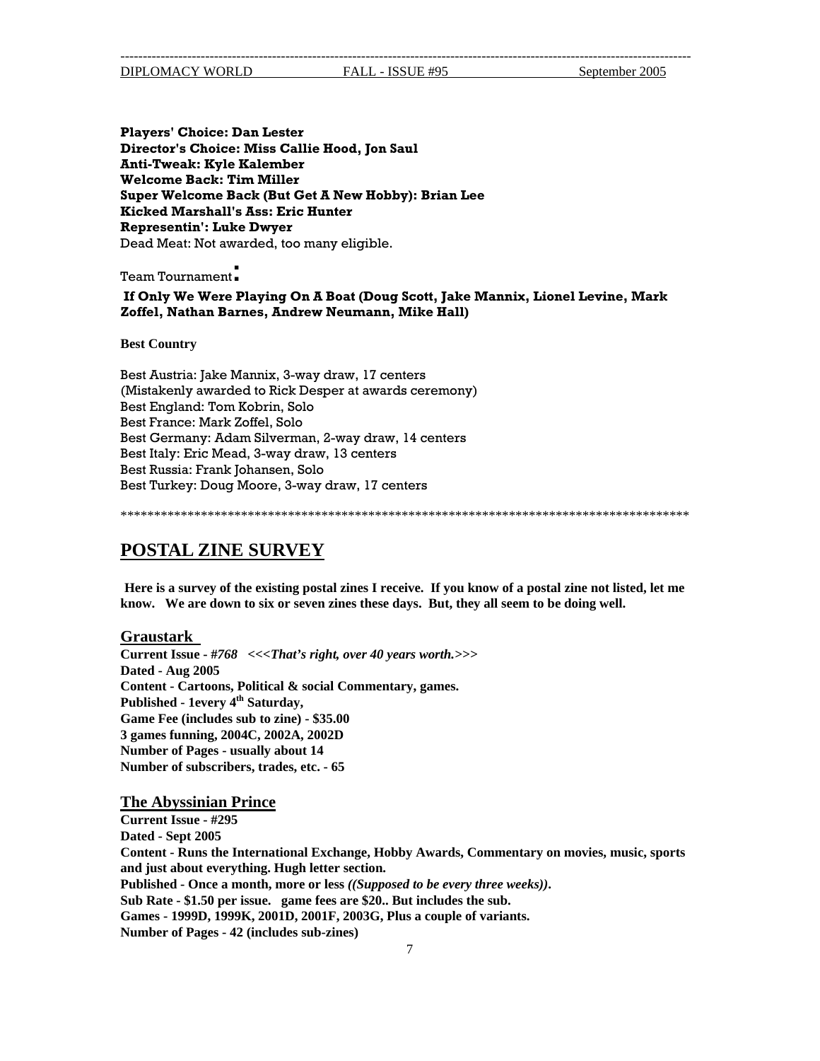<span id="page-6-0"></span>-------------------------------------------------------------------------------------------------------------------------------- DIPLOMACY WORLD FALL - ISSUE #95 September 2005

**ul Director's Choice: Miss Callie Hood, Jon Sa t A New Hobby): Brian Lee Super Welcome Back (But Ge Hunter Kicked Marshall's Ass: Eric** Dead Meat: Not awarded, too many eligible. **Players' Choice: Dan Lester Anti-Tweak: Kyle Kalember Welcome Back: Tim Miller Representin': Luke Dwyer**

Team Tournament:

 **If Only We Were Playing On A Boat (Doug Scott, Jake Mannix, Lionel Levine, Mark s, Andrew Neumann, Mike Hall) Zoffel, Nathan Barne**

**Best Country** 

Best Austria: Jake Mannix, 3-way draw, 17 centers (Mistakenly awarded to Rick Desper at awards ceremony) Best Germany: Adam Silverman, 2-way draw, 14 centers Best Italy: Eric Mead, 3-way draw, 13 centers Best Turkey: Doug Moore, 3-way draw, 17 centers Best England: Tom Kobrin, Solo Best France: Mark Zoffel, Solo Best Russia: Frank Johansen, Solo

\*\*\*\*\*\*\*\*\*\*\*\*\*\*\*\*\*\*\*\*\*\*\*\*\*\*\*\*\*\*\*\*\*\*\*\* \*\*\*\*\*\*\*\*\*\*\*\*\*\*\*\*\*\*\*\*\*\*\*\*\*\*\*\*\*\*\*\*\*\*\*\*\*\*\*\*\*\*\*\*\*\*\*\*\*

## **POSTAL ZINE SURVEY**

**Here is a survey of the existing postal zines I receive. If you know of a postal zine not listed, let me know. We are down to six or seven zines these days. But, they all seem to be doing well.**

### **Graustark**

**Current Issue - #** *768 <<<That's right, over 40 years worth.>>>*  **Dated - Aug 2005** Published - 1every 4<sup>th</sup> Saturday, **002D 3 games funning, 2004C, 2002A, 2 Content - Cartoons, Political & social Commentary, games. Game Fee (includes sub to zine) - \$35.00 Number of Pages - usually about 14 Number of subscribers, trades, etc. - 65** 

**The Abyssinian Prince**

**Current Issue - #295**  Content - Runs the International Exchange, Hobby Awards, Commentary on movies, music, sports and just about everything. Hugh letter section. Sub Rate - \$1.50 per issue. game fees are \$20.. But includes the sub. **Dated - Sept 2005 Published - Once a month, more or less** *((Supposed to be every three weeks))***. Games - 1999D, 1999K, 2001D, 2001F, 2003G, Plus a couple of variants. Number of Pages - 42 (includes sub-zines)**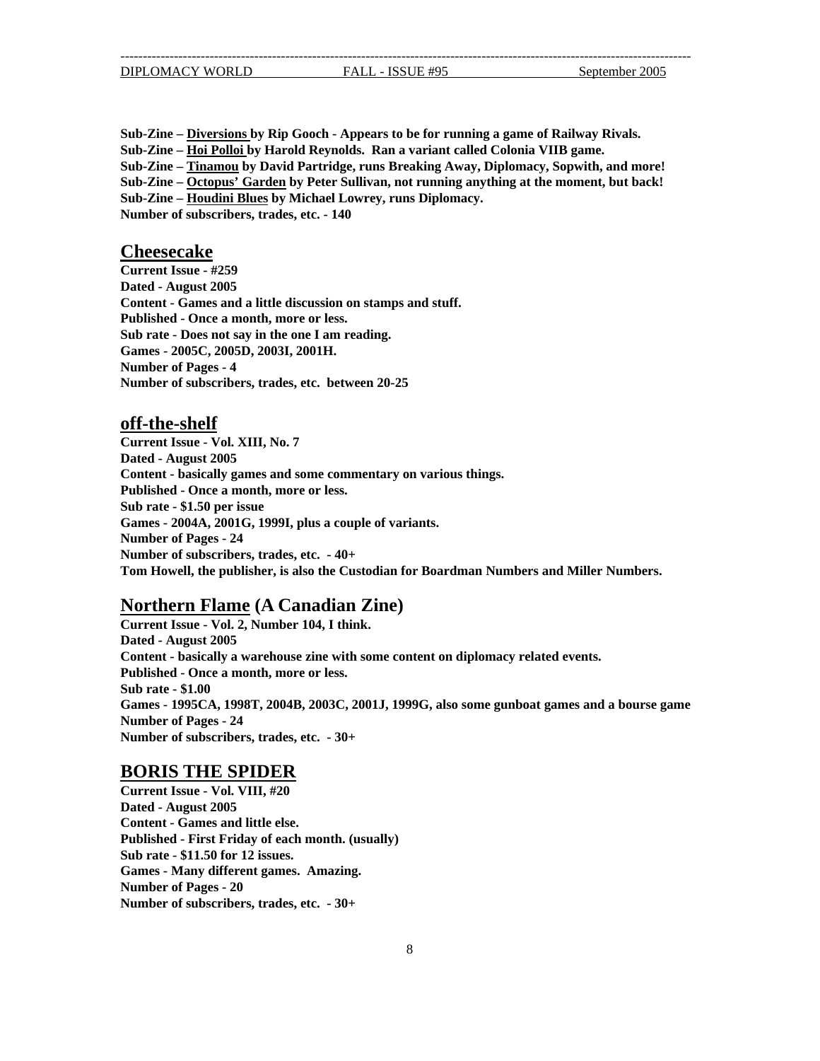**Sub-Zine – Diversions by Rip Gooch - Appears to be for running a game of Railway Rivals. Sub-Zine – Hoi Polloi by Harold Reynolds. Ran a variant called Colonia VIIB game. Sub-Zine – Tinamou by David Partridge, runs Breaking Away, Diplomacy, Sopwith, and more! Sub-Zine – Octopus' Garden by Peter Sullivan, not running anything at the moment, but back! Sub-Zine – Houdini Blues by Michael Lowrey, runs Diplomacy. Number of subscribers, trades, etc. - 140** 

### **Cheesecake**

**Current Issue - #259 Dated - August 2005** Content - Games and a little discussion on stamps and stuff. Published - Once a month, more or less. **Sub rate - Does not say in the one I am reading. Games - 2005C, 2005D, 2003I, 2001H. Number of Pages - 4 Number of subscribers, trades, etc. between 20-25** 

### **off-the-shelf**

**Current Issue - Vol . XIII, No. 7 Dated - August 20 05** Content - basically games and some commentary on various things. Published - Once a month, more or less. **ple of variants. Games - 2004A, 2001G, 1999I, plus a cou her, is also the Custodian for Boardman Numbers and Miller Numbers. Tom Howell, the publis Sub rate - \$1.50 per issue Number of Pages - 24 Number of subscribers, trades, etc. - 40+**

## **Northern Flame (A Canadian Zine)**

**Current Issue - Vol. 2, Number 104, I think. Dated - August 2005 Content - basically a warehouse zine with some content on diplomacy related events.**  Published - Once a month, more or less. Games - 1995CA, 1998T, 2004B, 2003C, 2001J, 1999G, also some gunboat games and a bourse game **- 24 Number of Pages Sub rate - \$1.00 Number of subscribers, trades, etc. - 30+**

### **BORIS THE SPIDER**

**Current Issue - Vol. VIII, #20 Dated - August 2005 Content - Games and little else. Published - First Friday of each month. (usually) Sub rate - \$11.50 for 12 issues. Games - Many different games. Amazing. Number of Pages - 20 Number of subscribers, trades, etc. - 30+**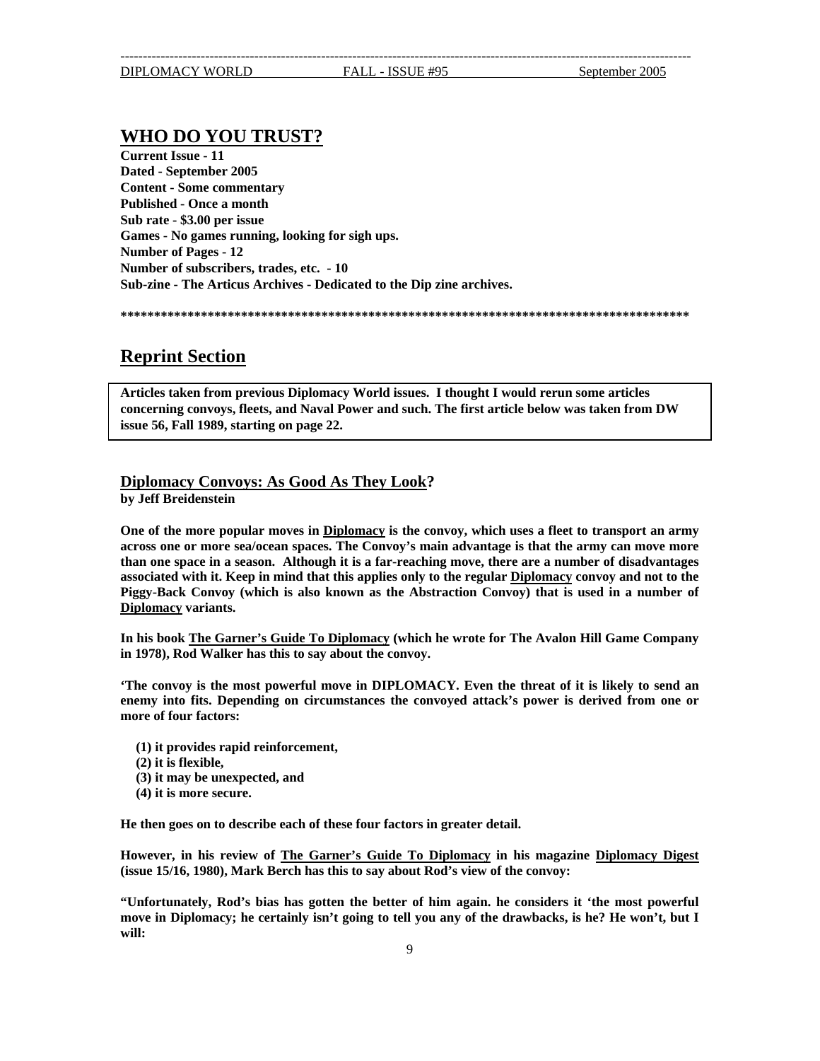## <span id="page-8-0"></span>**WHO DO YOU TRUST?**

**Current Issue - 11 Dated - September 2005 Content - Some commentary**  Games - No games running, looking for sigh ups. **Archives - Dedicated to the Dip zine archives. Sub-zine - The Articus Published - Once a month Sub rate - \$3.00 per issue Number of Pages - 12 Number of subscribers, trades, etc. - 10** 

**\*\*\*\*\*\*\*\*\*\*\*\*\*\*\*\*\*\*\*\*\*\*\*\*\* \*\*\*\*\*\*\*\*\*\*\*\*\*\*\*\*\*\*\*\*\*\*\*\*\*\*\*\*\*\*\*\*\*\*\*\*\*\*\*\*\*\*\*\*\*\*\*\*\*\*\*\*\*\*\*\*\*\*\*\***

## **Reprint Section**

**Articles taken from previous Diplomacy World issues. I thought I would rerun some articles concerning convoys, fleets, and Naval Power and such. The first article below was taken from DW issue 56, Fall 1989, starting on page 22.**

## **Diplomacy Convoys: As Good As They Look?**

**y Jeff Breidenstein b**

One of the more popular moves in **Diplomacy** is the convoy, which uses a fleet to transport an army **across one or more sea/ocean spaces. The Convoy's main advantage is that the army can move more than one space in a season. Although it is a far-reaching move, there are a number of disadvantages associated with it. Keep in mind that this applies only to the regular Diplomacy convoy and not to the Piggy-Back Convoy (which is also known as the Abstraction Convoy) that is used in a number of Diplomacy variants.** 

**In his book The Garner's Guide To Diplomacy (which he wrote for The Avalon Hill Game Company 1978), Rod Walker has this to say about the convoy. in**

'The convoy is the most powerful move in DIPLOMACY. Even the threat of it is likely to send an **nemy into fits. Depending on circumstances the convoyed attack's power is derived from one or e more of four factors:** 

- **reinforcement, (1) it provides rapid**
- **(2) it is flexible,**
- **(3) it may be unexpected, and**
- (4) it is more secure.

He then goes on to describe each of these four factors in greater detail.

**However, in his review of The Garner's Guide To Diplomacy in his magazine Diplomacy Digest ssue 15/16, 1980), Mark Berch has this to say about Rod's view of the convoy: (i**

**t 'the most powerful "Unfortunately, Rod's bias has gotten the better of him again. he considers i ove in Diplomacy; he certainly isn't going to tell you any of the drawbacks, is he? He won't, but I mwill:**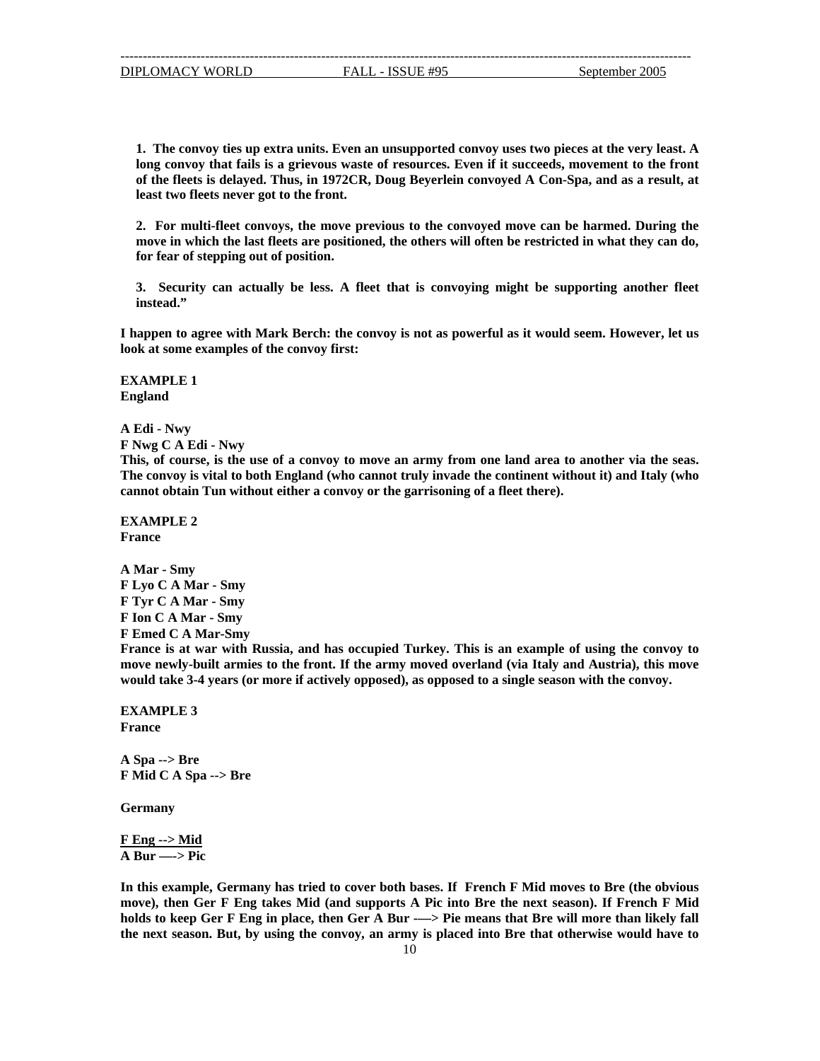long convoy that fails is a grievous waste of resources. Even if it succeeds, movement to the front **of the fleets is delayed. Thus, in 1972CR, Doug Beyerlein convoyed A Con-Spa, and as a result, at 1. The convoy ties up extra units. Even an unsupported convoy uses two pieces at the very least. A least two fleets never got to the front.**

move in which the last fleets are positioned, the others will often be restricted in what they can do, for fear of stepping out of position. **2. For multi-fleet convoys, the move previous to the convoyed move can be harmed. During the** 

**3. Security can actually be less. A fleet that is convoying might be supporting another fleet instead."**

**I h appen to agree with Mark Berch: the convoy is not as powerful as it would seem. However, let us**  look at some examples of the convoy first:

**EXAMPLE 1 England** 

**A Edi - Nwy** 

**A Edi - Nwy F Nwg C**

**his, of course, is the use of a convoy to move an army from one land area to another via the seas. T** The convoy is vital to both England (who cannot truly invade the continent without it) and Italy (who cannot obtain Tun without either a convoy or the garrisoning of a fleet there).

**EXAMPLE 2 France** 

**A Mar - Smy F Lyo C Tyr C A Mar - Smy F - Smy F Ion C A Mar A Mar - Smy F Emed C A Mar-Smy**

France is at war with Russia, and has occupied Turkey. This is an example of using the convoy to **es to the front. If the army moved overland (via Italy and Austria), this move move newly-built armi more if actively opposed), as opposed to a single season with the convoy. would take 3-4 years (or** 

**EXAMPLE 3 France** 

*F* Mid C A Spa --> Bre **A Spa --> Bre**

**Germany** 

**Eng --> Mid F A Bur —-> Pic** 

**any has tried to cover both bases. If French F Mid moves to Bre (the obvious In this example, Germ F Eng takes Mid (and supports A Pic into Bre the next season). If French F Mid move), then Ger** holds to keep Ger F Eng in place, then Ger A Bur -—> Pie means that Bre will more than likely fall **the next season. But, by using the convoy, an army is placed into Bre that otherwise would have to**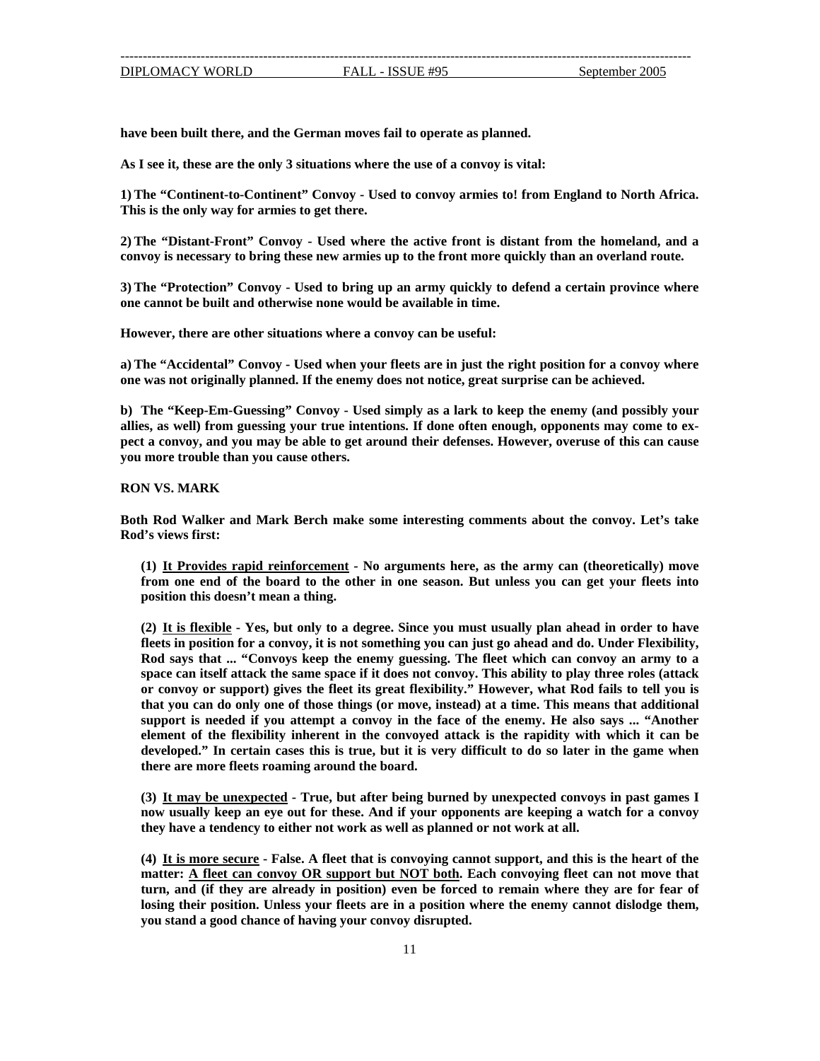**have been built there, and the German moves fail to operate as planned.** 

**As I see it, these are the only 3 situations where the use of a convoy is vital:** 

**) The "Continent-to-Continent" Convoy - Used to convoy armies to! from England to North Africa. 1 This is the only way for armies to get there.** 

convoy is necessary to bring these new armies up to the front more quickly than an overland route. **2) The "Distant-Front" Convoy - Used where the active front is distant from the homeland, and a** 

**3) The "Protection" Convoy - Used to bring up an army quickly to defend a certain province where one cannot be built and otherwise none would be available in time.** 

**However, there are other situations where a convoy can be useful:** 

**) The "Accidental" Convoy - Used when your fleets are in just the right position for a convoy where a urprise can be achieved. one was not originally planned. If the enemy does not notice, great s**

allies, as well) from guessing your true intentions. If done often enough, opponents may come to ex**ect a convoy, and you may be able to get around their defenses. However, overuse of this can cause p b) The "Keep-Em-Guessing" Convoy - Used simply as a lark to keep the enemy (and possibly your you more trouble than you cause others.** 

**RON VS. MARK** 

**oth Rod Walker and Mark Berch make some interesting comments about the convoy. Let's take B Rod's views first:** 

**(1) It Provides rapid reinforcement - No arguments here, as the army can (theoretically) move from one end of the board to the other in one season. But unless you can get your fleets into position this doesn't mean a thing.**

**(2) It is flexible - Yes, but only to a degree. Since you must usually plan ahead in order to have fleets in position for a convoy, it is not something you can just go ahead and do. Under Flexibility, Rod says that ... "Convoys keep the enemy guessing. The fleet which can convoy an army to a space can itself attack the same space if it does not convoy. This ability to play three roles (attack or convoy or support) gives the fleet its great flexibility." However, what Rod fails to tell you is that you can do only one of those things (or move, instead) at a time. This means that additional support is needed if you attempt a convoy in the face of the enemy. He also says ... "Another element of the flexibility inherent in the convoyed attack is the rapidity with which it can be developed." In certain cases this is true, but it is very difficult to do so later in the game when there are more fleets roaming around the board.** 

**(3) It may be unexpected - True, but after being burned by unexpected convoys in past games I now usually keep an eye out for these. And if your opponents are keeping a watch for a convoy they have a tendency to either not work as well as planned or not work at all.**

**(4) It is more secure - False. A fleet that is convoying cannot support, and this is the heart of the matter: A fleet can convoy OR support but NOT both. Each convoying fleet can not move that turn, and (if they are already in position) even be forced to remain where they are for fear of losing their position. Unless your fleets are in a position where the enemy cannot dislodge them, you stand a good chance of having your convoy disrupted.**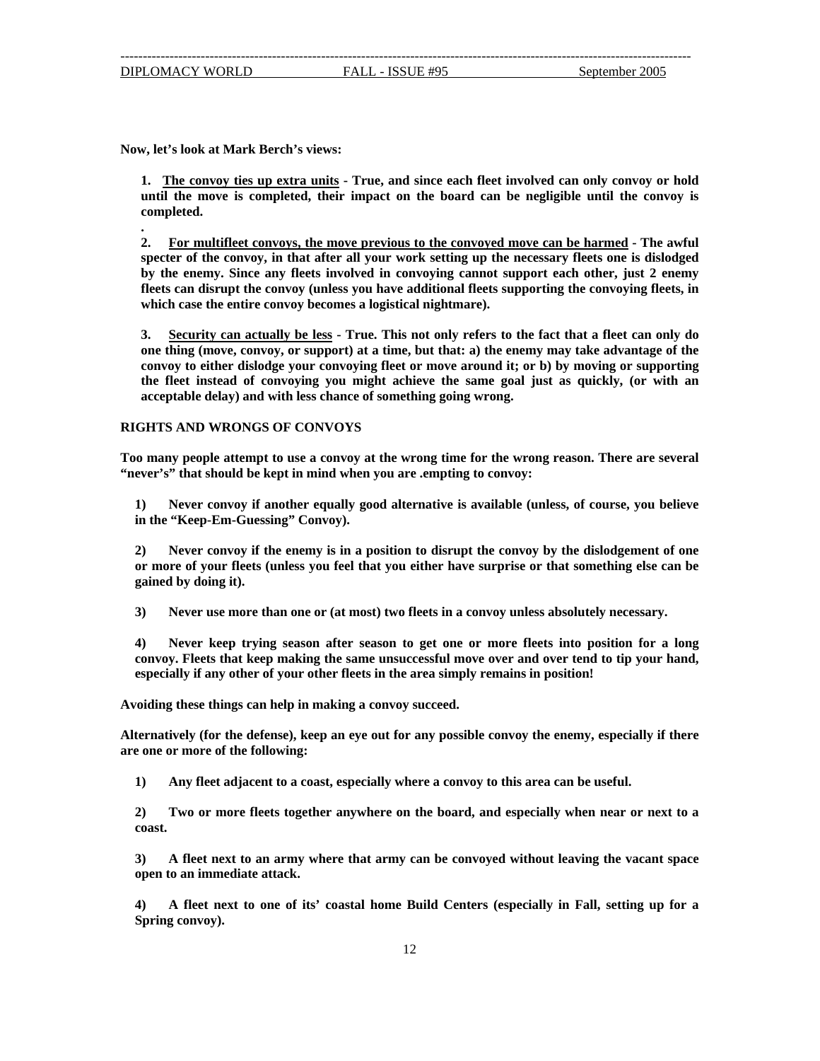**.** 

**No w, let's look at Mark Berch's views:**

1. The convoy ties up extra units - True, and since each fleet involved can only convoy or hold **impact on the board can be negligible until the convoy is until the move is completed, their completed.** 

**2. For multifleet convoys, the move previous to the convoyed move can be harmed - The awful specter of the convoy, in that after all your work setting up the necessary fleets one is dislodged by the enemy. Since any fleets involved in convoying cannot support each other, just 2 enemy fleets can disrupt the convoy (unless you have additional fleets supporting the convoying fleets, in which case the entire convoy becomes a logistical nightmare).** 

**3. Security can actually be less - True. This not only refers to the fact that a fleet can only do one thing (move, convoy, or support) at a time, but that: a) the enemy may take advantage of the onvoy to either dislodge your convoying fleet or move around it; or b) by moving or supporting c the fleet instead of convoying you might achieve the same goal just as quickly, (or with an acceptable delay) and with less chance of something going wrong.** 

#### **RIG HTS AND WRONGS OF CONVOYS**

**oo many people attempt to use a convoy at the wrong time for the wrong reason. There are several T** "never's" that should be kept in mind when you are .empting to convoy:

**1) Never convoy if another equally good alternative is available (unless, of course, you believe in the "Keep-Em-Guessing" Convoy).** 

**that or more of your fleets (unless you feel that you either have surprise or that something else can be ained by doing it). g 2) Never convoy if the enemy is in a position to disrupt the convoy by the dislodgement of one** 

**3) Never use more than one or (at most) two fleets in a convoy unless absolutely necessary.** 

**) Never keep trying season after season to get one or more fleets into position for a long and, convoy. Fleets that keep making the same unsuccessful move over and over tend to tip your h specially if any other of your other fleets in the area simply remains in position! e 4**

**A voiding these things can help in making a convoy succeed.**

**lternatively (for the defense), keep an eye out for any possible convoy the enemy, especially if there A are one or more of the following:** 

**1) Any fleet adjacent to a coast, especially where a convoy to this area can be useful.** 

**2) Two or more fleets together anywhere on the board, and especially when near or next to a coast.** 

**an immediate attack. open to 3) A fleet next to an army where that army can be convoyed without leaving the vacant space**

**4) A fleet next to one of its' coastal home Build Centers (especially in Fall, setting up for a Spring convoy).**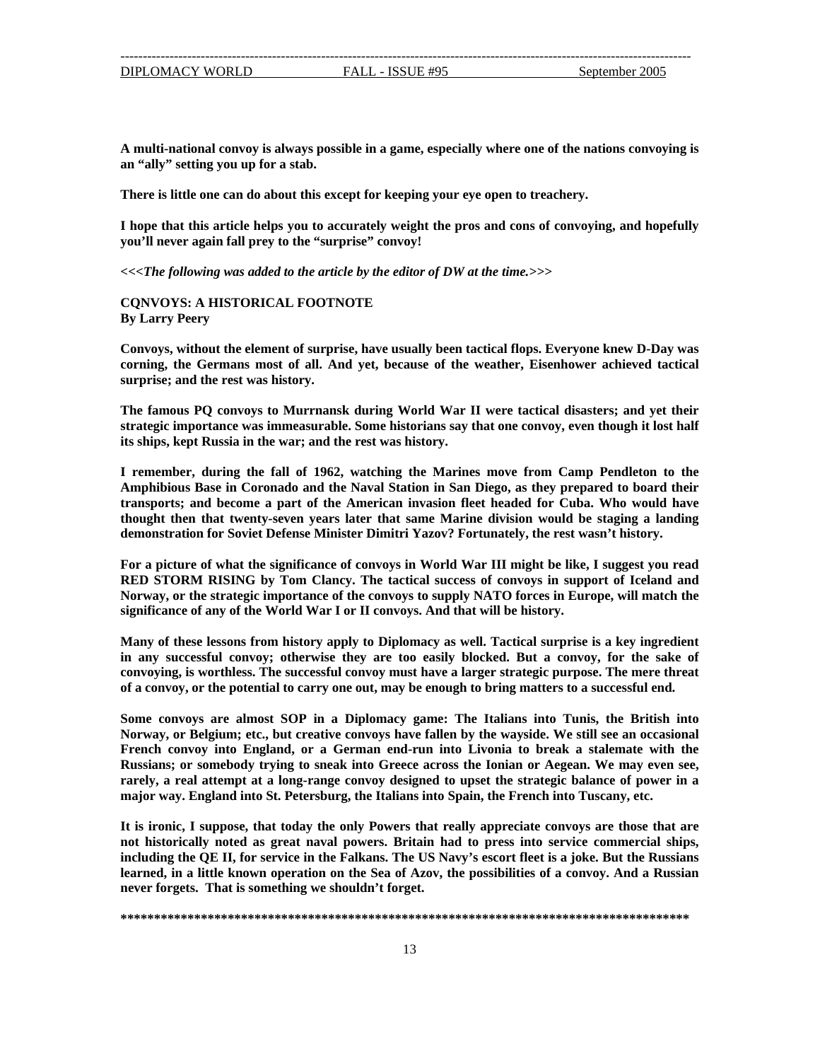<span id="page-12-0"></span>**A multi -national convoy is always possible in a game, especially where one of the nations convoying is** an "ally" setting you up for a stab.

**There is little one can do about this except for keeping your eye open to treachery.** 

**hope that this article helps you to accurately weight the pros and cons of convoying, and hopefully I you'll never again fall prey to the "surprise" convoy!** 

*<<<The following was added to the article by the editor of DW at the time.>>>* 

### **QNVOYS: A HISTORICAL FOOTNOTE C By Larry Peery**

**e usually been tactical flops. Everyone knew D-Day was Convoys, without the element of surprise, hav mans most of all. And yet, because of the weather, Eisenhower achieved tactical corning, the Ger** surprise; and the rest was history.

**able. Some historians say that one convoy, even though it lost half strategic importance was immeasur** its ships, kept Russia in the war; and the rest was history. **The famous PQ convoys to Murrnansk during World War II were tactical disasters; and yet their**

Amphibious Base in Coronado and the Naval Station in San Diego, as they prepared to board their **ansports; and become a part of the American invasion fleet headed for Cuba. Who would have tr I remember, during the fall of 1962, watching the Marines move from Camp Pendleton to the thought then that twenty-seven years later that same Marine division would be staging a landing demonstration for Soviet Defense Minister Dimitri Yazov? Fortunately, the rest wasn't history.**

Norway, or the strategic importance of the convoys to supply NATO forces in Europe, will match the **For a picture of what the significance of convoys in World War III might be like, I suggest you read RED STORM RISING by Tom Clancy. The tactical success of convoys in support of Iceland and significance of any of the World War I or II convoys. And that will be history.** 

in any successful convoy; otherwise they are too easily blocked. But a convoy, for the sake of **onvoying, is worthless. The successful convoy must have a larger strategic purpose. The mere threat c Many of these lessons from history apply to Diplomacy as well. Tactical surprise is a key ingredient of a convoy, or the potential to carry one out, may be enough to bring matters to a successful end.**

**al Norway, or Belgium; etc., but creative convoys have fallen by the wayside. We still see an occasion** French convoy into England, or a German end-run into Livonia to break a stalemate with the **Some convoys are almost SOP in a Diplomacy game: The Italians into Tunis, the British into Russians; or somebody trying to sneak into Greece across the Ionian or Aegean. We may even see, rarely, a real attempt at a long-range convoy designed to upset the strategic balance of power in a major way. England into St. Petersburg, the Italians into Spain, the French into Tuscany, etc.** 

**ships, not historically noted as great naval powers. Britain had to press into service commercial cluding the QE II, for service in the Falkans. The US Navy's escort fleet is a joke. But the Russians in It is ironic, I suppose, that today the only Powers that really appreciate convoys are those that are learned, in a little known operation on the Sea of Azov, the possibilities of a convoy. And a Russian never forgets. That is something we shouldn't forget.**

#### **\*\*\*\*\*\*\*\*\*\*\*\*\*\*\*\*\*\*\*\*\*\*\*\*\*\*\*\*\*\*\*\*\*\*\*\*\*\*\*\*\*\*\*\*\*\*\*\*\*\*\*\*\*\*\*\*\*\*\*\*\*\*\*\*\*\*\*\*\*\*\*\*\*\*\*\*\*\*\*\*\*\*\*\*\***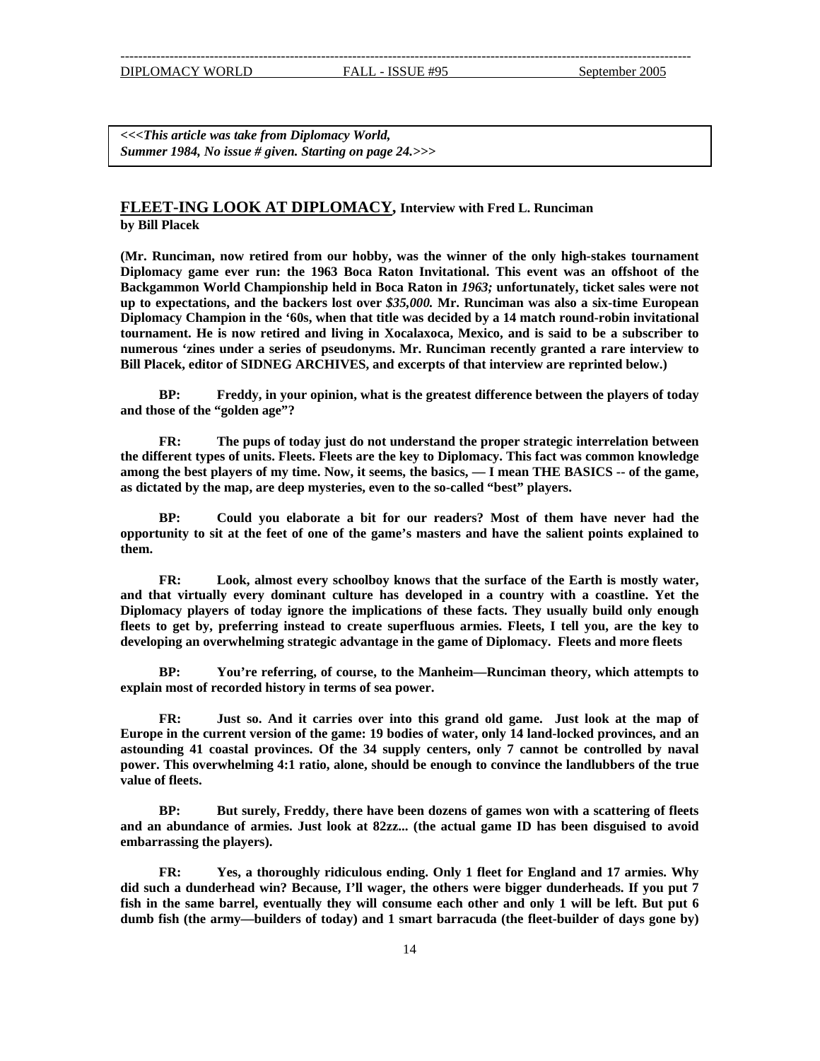<span id="page-13-0"></span>*ummer 1984, No issue # given. Starting on page 24.>>> S <<<This article was take from Diplomacy World,* 

### **FLEET-ING LOOK AT DIPLOMACY, Interview with Fred L. Runciman y Bill Placek b**

(Mr. Runciman, now retired from our hobby, was the winner of the only high-stakes tournament **e ever run: the 1963 Boca Raton Invitational. This event was an offshoot of the Diplomacy gam** Backgammon World Championship held in Boca Raton in 1963; unfortunately, ticket sales were not **up to expectations, and the backers lost over** *\$35,000.* **Mr. Runciman was also a six-time European Diplomacy Champion in the '60s, when that title was decided by a 14 match round-robin invitational tournament. He is now retired and living in Xocalaxoca, Mexico, and is said to be a subscriber to numerous 'zines under a series of pseudonyms. Mr. Runciman recently granted a rare interview to Bill Placek, editor of SIDNEG ARCHIVES, and excerpts of that interview are reprinted below.)** 

**BP: Freddy, in your opinion, what is the greatest difference between the players of today and those of the "golden age"?**

the different types of units. Fleets. Fleets are the key to Diplomacy. This fact was common knowledge among the best players of my time. Now, it seems, the basics,  $-$  I mean THE BASICS -- of the game, as dictated by the map, are deep mysteries, even to the so-called "best" players. **FR: The pups of today just do not understand the proper strategic interrelation between** 

**t points explained to opportunity to sit at the feet of one of the game's masters and have the salien them. BP: Could you elaborate a bit for our readers? Most of them have never had the**

and that virtually every dominant culture has developed in a country with a coastline. Yet the **Diplom y players of today ignore the implications of these facts. They usually build only enough ac** fleets to get by, preferring instead to create superfluous armies. Fleets, I tell you, are the key to **FR: Look, almost every schoolboy knows that the surface of the Earth is mostly water, developing an overwhelming strategic advantage in the game of Diplomacy. Fleets and more fleets** 

**BP: You're referring, of course, to the Manheim—Runciman theory, which attempts to explain most of recorded history in terms of sea power.** 

**Europe** in the current version of the game: 19 bodies of water, only 14 land-locked provinces, and an **astounding 41 coastal provinces. Of the 34 supply centers, only 7 cannot be controlled by naval power over . This whelming 4:1 ratio, alone, should be enough to convince the landlubbers of the true FR: Just so. And it carries over into this grand old game. Just look at the map of value of fleets.**

**nce of armies. Just look at 82zz... (the actual game ID has been disguised to avoid and an abunda** embarrassing the players). **BP: But surely, Freddy, there have been dozens of games won with a scattering of fleets**

did such a dunderhead win? Because, I'll wager, the others were bigger dunderheads. If you put 7 **fish in the same barrel, eventually they will consume each other and only 1 will be left. But put 6 dumb fish (the a rmy—builders of today) and 1 smart barracuda (the fleet-builder of days gone by) FR: Yes, a thoroughly ridiculous ending. Only 1 fleet for England and 17 armies. Why**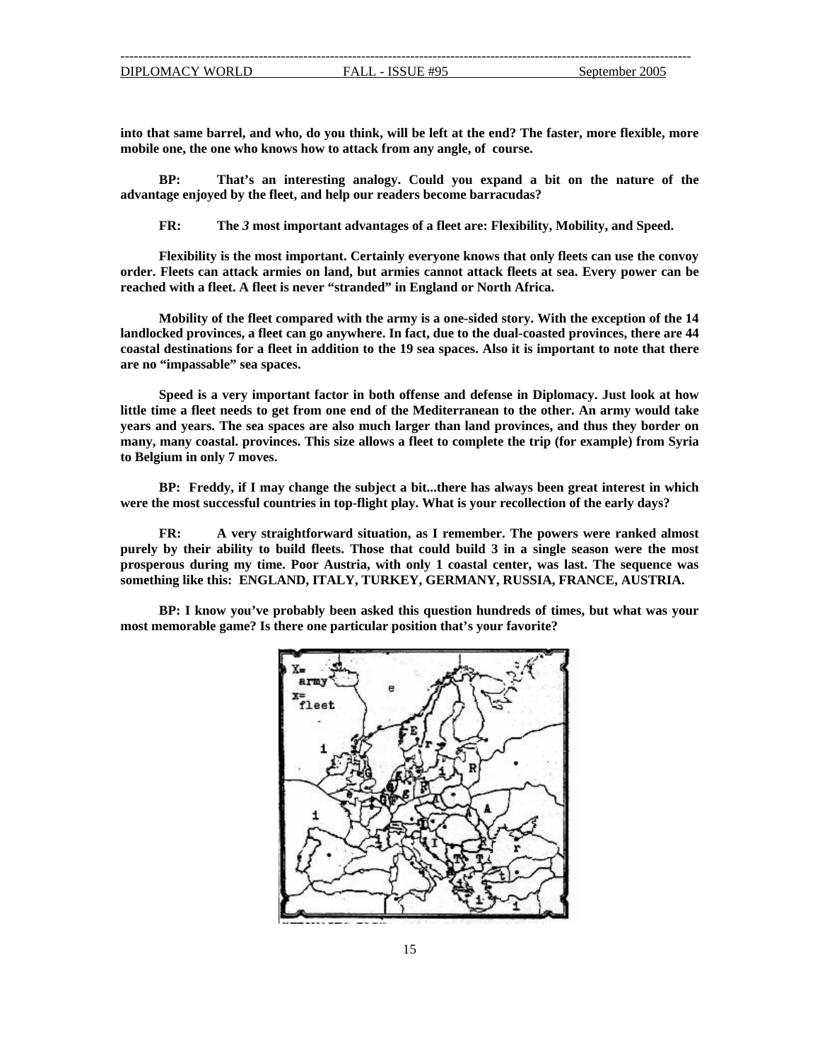**into that same barrel, and who, do you think, will be left at the end? The faster, more flexible, more mobile one, the one who knows how to attack from any angle, of course.** 

**BP: That's an interesting analogy. Could you expand a bit on the nature of the advantage enjoyed by the fleet, and help our readers become barracudas?**

**FR: The** *3* **most important advantages of a fleet are: Flexibility, Mobility, and Speed.** 

**lexibility is the most important. Certainly everyone knows that only fleets can use the convoy F order. be Fleets can attack armies on land, but armies cannot attack fleets at sea. Every power can reached with a fleet. A fleet is never "stranded" in England or North Africa.** 

landlocked provinces, a fleet can go anywhere. In fact, due to the dual-coasted provinces, there are 44 **coasta estinations for a fleet in addition to the 19 sea spaces. Also it is important to note that there l d are no "impassable" sea spaces. Mobility of the fleet compared with the army is a one-sided story. With the exception of the 14**

**m one end of the Mediterranean to the other. An army would take little time a fleet needs to get fro years and years. The sea spaces are also much larger than land provinces, and thus they border on many, many coastal. provinces. This size allows a fleet to complete the trip (for example) from Syria Speed is a very important factor in both offense and defense in Diplomacy. Just look at how to Belgium in only 7 moves.** 

were the most successful countries in top-flight play. What is your recollection of the early days? **BP: Freddy, if I may change the subject a bit...there has always been great interest in which** 

**ost purely by their ability to build fleets. Those that could build 3 in a single season were the m** prosperous during my time. Poor Austria, with only 1 coastal center, was last. The sequence was something like this: ENGLAND, ITALY, TURKEY, GERMANY, RUSSIA, FRANCE, AUSTRIA. **FR: A very straightforward situation, as I remember. The powers were ranked almost** 

**BP: I know you've probably been asked this question hundreds of times, but what was your most memorable game? Is there one particular position that's your favorite?** 

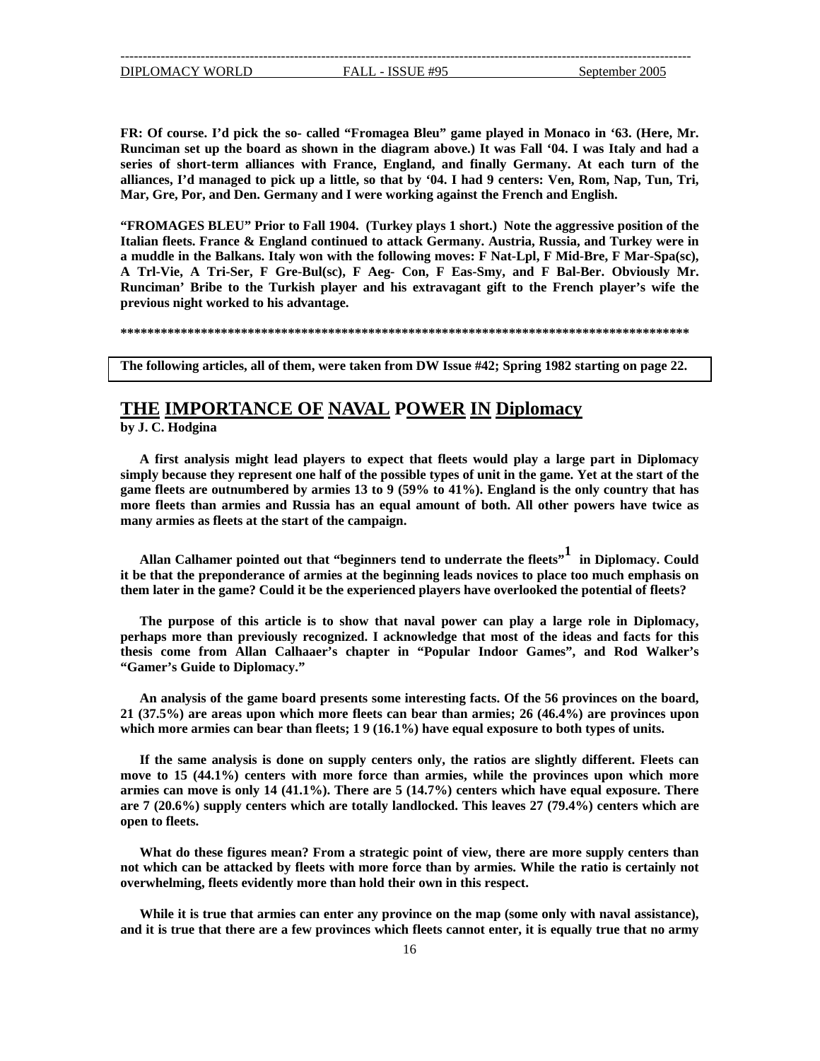<span id="page-15-0"></span>**FR: Of course. I'd pick the so- called "Fromagea Bleu" game played in Monaco in '63. (Here, Mr. Runciman set up the board as shown in the diagram above.) It was Fall '04. I was Italy and had a series of short-term alliances with France, England, and finally Germany. At each turn of the alliances, I'd managed to pick up a little, so that by '04. I had 9 centers: Ven, Rom, Nap, Tun, Tri, Mar, Gre, Por, and Den. Germany and I were working against the French and English.** 

**"FROMAGES BLEU" Prior to Fall 1904. (Turkey plays 1 short.) Note the aggressive position of the Italian fleets. France & England continued to attack Germany. Austria, Russia, and Turkey were in a muddle in the Balkans. Italy won with the following moves: F Nat-Lpl, F Mid-Bre, F Mar-Spa(sc), A Trl-Vie, A Tri-Ser, F Gre-Bul(sc), F Aeg- Con, F Eas-Smy, and F Bal-Ber. Obviously Mr. Runciman' Bribe to the Turkish player and his extravagant gift to the French player's wife the previous night worked to his advantage.** 

**\*\*\*\*\*\*\*\*\*\*\*\*\*\*\*\*\*\*\*\*\*\*\*\*\*\*\*\*\*\*\*\*\*\*\*\*\*\*\*\*\*\*\*\*\*\*\*\*\*\*\*\*\*\*\*\*\*\*\*\*\*\*\*\*\*\*\*\*\*\*\*\*\*\*\*\*\*\*\*\*\*\*\*\*\***

**The following articles, all of them, were taken from DW Issue #42; Spring 1982 starting on page 22.**

## **THE IMPORTANCE OF NAVAL POWER IN Diplomacy**

**by J. C. Hodgina** 

game fleets are outnumbered by armies 13 to 9 (59% to 41%). England is the only country that has **A first analysis might lead players to expect that fleets would play a large part in Diplomacy simply because they represent one half of the possible types of unit in the game. Yet at the start of the more fleets than armies and Russia has an equal amount of both. All other powers have twice as many armies as fleets at the start of the campaign.** 

**perienced players have overlooked the potential of fleets? them later in the game? Could it be the ex** Allan Calhamer pointed out that "beginners tend to underrate the fleets"<sup>1</sup> in Diplomacy. Could **it be that the preponderance of armies at the beginning leads novices to place too much emphasis on** 

**, The purpose of this article is to show that naval power can play a large role in Diplomacy erhaps more than previously recognized. I acknowledge that most of the ideas and facts for this p s thesis come from Allan Calhaaer's chapter in "Popular Indoor Games", and Rod Walker' "Gamer's Guide to Diplomacy."** 

An analysis of the game board presents some interesting facts. Of the 56 provinces on the board, **provinces upon 21 (37.5%) are areas upon which more fleets can bear than armies; 26 (46.4%) are ar than fleets; 1 9 (16.1%) have equal exposure to both types of units. which more armies can be**

**If the same analysis is done on supply centers only, the ratios are slightly different. Fleets can move to 15 (44.1%) centers with more force than armies, while the provinces upon which more armies can move is only 14 (41.1%). There are 5 (14.7%) centers which have equal exposure. There are 7 (20.6%) supply centers which are totally landlocked. This leaves 27 (79.4%) centers which are open to fleets.** 

**What do these figures mean? From a strategic point of view, there are more supply centers than not which can be attacked by fleets with more force than by armies. While the ratio is certainly not overwhelming, fleets evidently more than hold their own in this respect.** 

**While it is true that armies can enter any province on the map (some only with naval assistance), and it is true that there are a few provinces which fleets cannot enter, it is equally true that no army**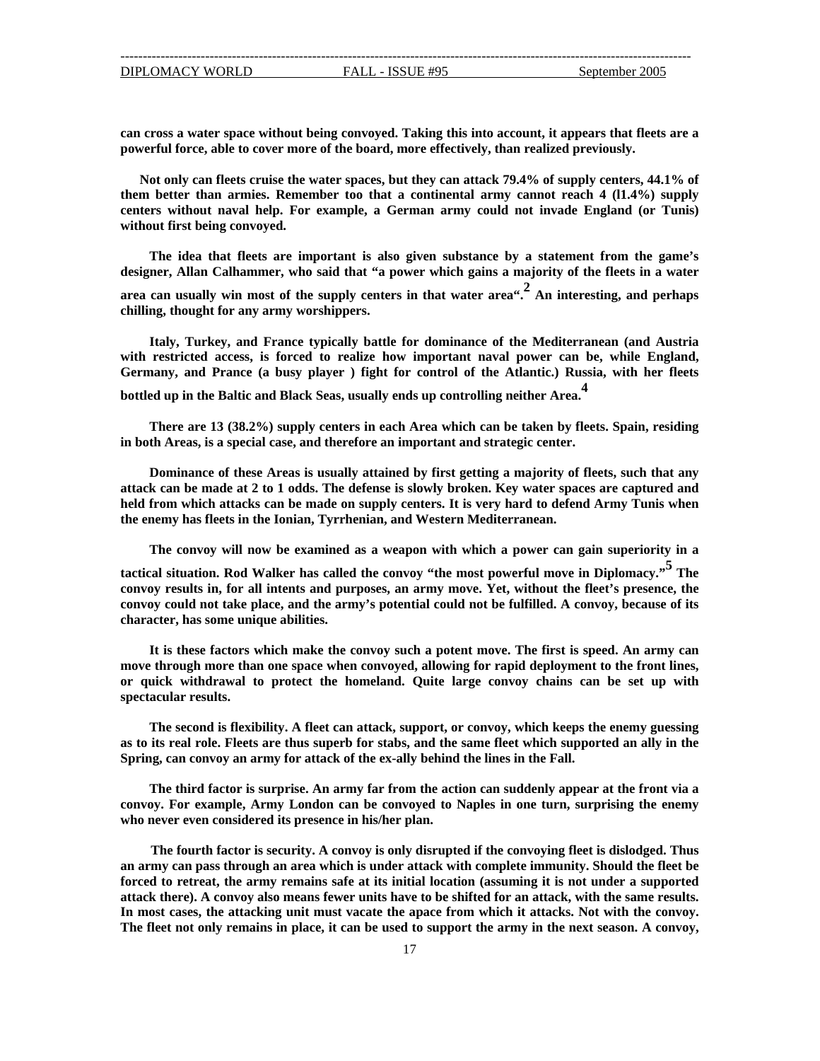powerful force, able to cover more of the board, more effectively, than realized previously. **can cross a water space without being convoyed. Taking this into account, it appears that fleets are a**

**unis) centers without naval help. For example, a German army could not invade England (or T** without first being convoyed. **Not only can fleets cruise the water spaces, but they can attack 79.4% of supply centers, 44.1% of them better than armies. Remember too that a continental army cannot reach 4 (l1.4%) supply** 

**The idea that fleets are important is also given substance by a statement from the game's designer, Allan Calhammer, who said that "a power which gains a majority of the fleets in a water**

**t for any army worshippers. chilling, though area can usually win most of the supply centers in that water area".2 An interesting, and perhaps**

**tic.) Russia, with her fleets Germany, and Prance (a busy player ) fight for control of the Atlan Italy, Turkey, and France typically battle for dominance of the Mediterranean (and Austria with restricted access, is forced to realize how important naval power can be, while England,** 

**bot tled up in the Baltic and Black Seas, usually ends up controlling neither Area.<sup>4</sup>**

**There are 13 (38.2%) supply centers in each Area which can be taken by fleets. Spain, residing in both Areas, is a special case, and therefore an important and strategic center.** 

the enemy has fleets in the Ionian, Tyrrhenian, and Western Mediterranean. **Dominance of these Areas is usually attained by first getting a majority of fleets, such that any attack can be made at 2 to 1 odds. The defense is slowly broken. Key water spaces are captured and held from which attacks can be made on supply centers. It is very hard to defend Army Tunis when** 

**The convoy will now be examined as a weapon with which a power can gain superiority in a**

convoy could not take place, and the army's potential could not be fulfilled. A convoy, because of its **haracter, has some unique abilities. c tactical situation. Rod Walker has called the convoy "the most powerful move in Diplomacy." 5 The convoy results in, for all intents and purposes, an army move. Yet, without the fleet's presence, the**

or quick withdrawal to protect the homeland. Quite large convoy chains can be set up with **It is these factors which make the convoy such a potent move. The first is speed. An army can move through more than one space when convoyed, allowing for rapid deployment to the front lines, spectacular results.** 

**ported an ally in the as to its real role. Fleets are thus superb for stabs, and the same fleet which sup** Spring, can convoy an army for attack of the ex-ally behind the lines in the Fall. **The second is flexibility. A fleet can attack, support, or convoy, which keeps the enemy guessing**

**The third factor is surprise. An army far from the action can suddenly appear at the front via a convoy. For example, Army London can be convoyed to Naples in one turn, surprising the enemy who never even considered its presence in his/her plan.** 

In most cases, the attacking unit must vacate the apace from which it attacks. Not with the convoy. **he fleet not only remains in place, it can be used to support the army in the next season. A convoy, TThe fourth factor is security. A convoy is only disrupted if the convoying fleet is dislodged. Thus an army can pass through an area which is under attack with complete immunity. Should the fleet be forced to retreat, the army remains safe at its initial location (assuming it is not under a supported attack there). A convoy also means fewer units have to be shifted for an attack, with the same results.**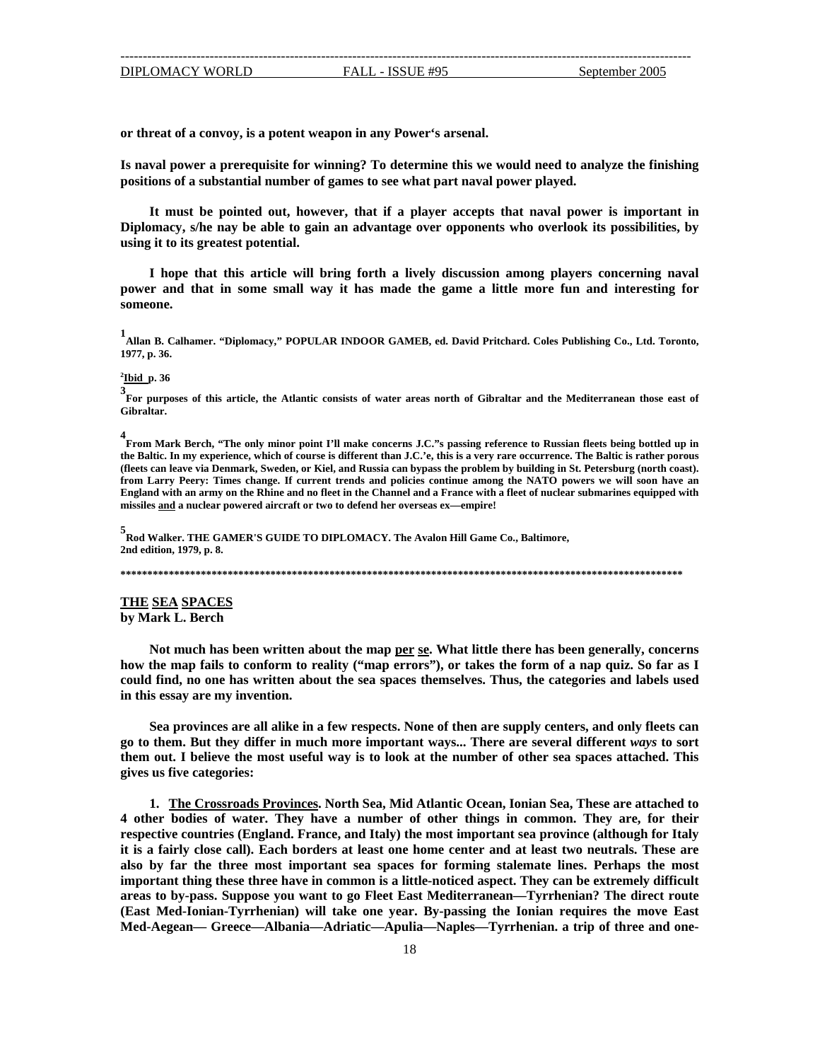<span id="page-17-0"></span>**or th reat of a convoy, is a potent weapon in any Power's arsenal.**

**tial number of games to see what part naval power played. positions of a substan Is naval power a prerequisite for winning? To determine this we would need to analyze the finishing** 

**It must be pointed out, however, that if a player accepts that naval power is important in Diplomacy, s/he nay be able to gain an advantage over opponents who overlook its possibilities, by using it to its greatest potential.** 

**I hope that this article will bring forth a lively discussion among players concerning naval power and that in some small way it has made the game a little more fun and interesting for someone.** 

**1 Allan B. Calhamer. "Diplomacy," POPULAR INDOOR GAMEB, ed. David Pritchard. Coles Publishing Co., Ltd. Toronto, 1977, p. 36.**

**2 Ibid p. 36** 

**3 For purposes of this article, the Atlantic consists of water areas north of Gibraltar and the Mediterranean those east of Gibraltar.** 

**4 From Mark Berch, "The only minor point I'll make concerns J.C."s passing reference to Russian fleets being bottled up in** from Larry Peery: Times change. If current trends and policies continue among the NATO powers we will soon have an England with an army on the Rhine and no fleet in the Channel and a France with a fleet of nuclear submarines equipped with **missil es and a nuclear powered aircraft or two to defend her overseas ex—empire! the Baltic. In my experience, which of course is different than J.C.'e, this is a very rare occurrence. The Baltic is rather porous (fleets can leave via Denmark, Sweden, or Kiel, and Russia can bypass the problem by building in St. Petersburg (north coast).** 

**5 Rod Walker. THE GAMER'S GUIDE TO DIPLOMACY. The Avalon Hill Game Co., Baltimore, 2nd edition, 1979, p. 8.**

**\*\*\*\*\*\*\*\*\*\*\*\*\*\*\*\*\*\*\*\*\*\*\*\*\*\*\*\*\*\*\*\*\*\*\*\*\*\*\*\*\*\*\*\*\*\*\*\*\*\*\*\*\*\*\*\*\*\*\*\*\*\*\*\*\*\*\*\*\*\*\*\*\*\*\*\*\*\*\*\*\*\*\*\*\*\*\*\*\*\*\*\*\*\*\*\*\*\*\*\*\*\*\*\*\***

**THE SEA SPACES by Mark L. Berch** 

**Not m uch has been written about the map per se. What little there has been generally, concerns**  how the map fails to conform to reality ("map errors"), or takes the form of a nap quiz. So far as I  **no one has written about the sea spaces themselves. Thus, the categories and labels used could find, in this essay are my invention.** 

**Sea provinces are all alike in a few respects. None of then are supply centers, and only fleets can go to them. But they differ in much more important ways... There are several different** *ways* **to sort them out. I believe the most useful way is to look at the number of other sea spaces attached. This gives us five categories:** 

**1. The Crossroads Provinces. North Sea, Mid Atlantic Ocean, Ionian Sea, These are attached to other bodies of water. They have a number of other things in common. They are, for their 4 ce (although for Italy respective countries (England. France, and Italy) the most important sea provin** it is a fairly close call). Each borders at least one home center and at least two neutrals. These are also by far the three most important sea spaces for forming stalemate lines. Perhaps the most **thing these three have in common is a little-noticed aspect. They can be extremely difficult important ppose you want to go Fleet East Mediterranean—Tyrrhenian? The direct route areas to by-pass. Su yrrhenian) will take one year. By-passing the Ionian requires the move East (East Med-Ionian-T ed-Aegean— Greece—Albania—Adriatic—Apulia—Naples—Tyrrhenian. a trip of three and one-M**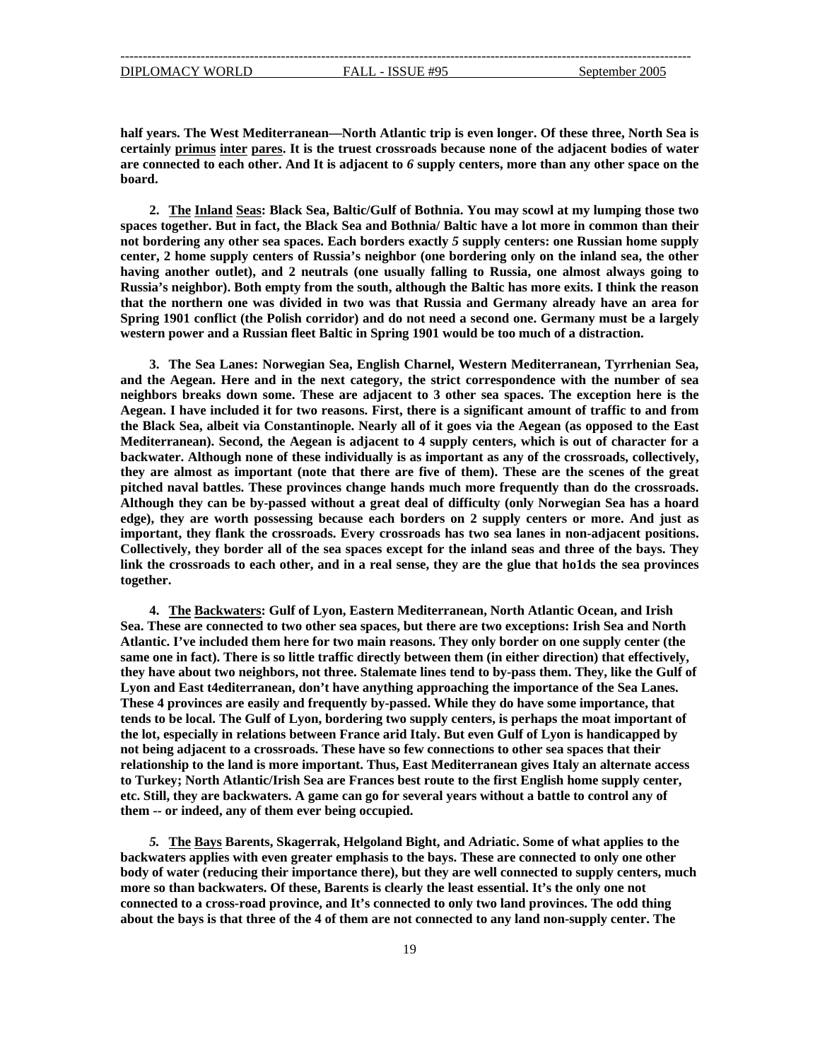**half years. The West Mediterranean—North Atlantic trip is even longer. Of these three, North Sea is certainly primus inter pares. It is the truest crossroads because none of the adjacent bodies of water are connected to each other. And It is adjacent to** *6* **supply centers, more than any other space on the board.** 

**2. The Inland Seas: Black Sea, Baltic/Gulf of Bothnia. You may scowl at my lumping those two spaces together. But in fact, the Black Sea and Bothnia/ Baltic have a lot more in common than their not bordering any other sea spaces. Each borders exactly** *5* **supply centers: one Russian home supply center, 2 home supply centers of Russia's neighbor (one bordering only on the inland sea, the other**  having another outlet), and 2 neutrals (one usually falling to Russia, one almost always going to **Russ ia's neighbor). Both empty from the south, although the Baltic has more exits. I think the reason that the northern one was divided in two was that Russia and Germany already have an area for Spring 1901 conflict (the Polish corridor) and do not need a second one. Germany must be a largely western power and a Russian fleet Baltic in Spring 1901 would be too much of a distraction.** 

**almost as important (note that there are five of them). These are the scenes of the great they are itched naval battles. These provinces change hands much more frequently than do the crossroads. p Alth ough they can be by-passed without a great deal of difficulty (only Norwegian Sea has a hoard 3. The Sea Lanes: Norwegian Sea, English Charnel, Western Mediterranean, Tyrrhenian Sea, and the Aegean. Here and in the next category, the strict correspondence with the number of sea neighbors breaks down some. These are adjacent to 3 other sea spaces. The exception here is the Aegean. I have included it for two reasons. First, there is a significant amount of traffic to and from the Black Sea, albeit via Constantinople. Nearly all of it goes via the Aegean (as opposed to the East Mediterranean). Second, the Aegean is adjacent to 4 supply centers, which is out of character for a backwater. Although none of these individually is as important as any of the crossroads, collectively, edge), they are worth possessing because each borders on 2 supply centers or more. And just as important, they flank the crossroads. Every crossroads has two sea lanes in non-adjacent positions. Collectively, they border all of the sea spaces except for the inland seas and three of the bays. They link the crossroads to each other, and in a real sense, they are the glue that ho1ds the sea provinces together.** 

**4. The Backwaters: Gulf of Lyon, Eastern Mediterranean, North Atlantic Ocean, and Irish Sea. These are connected to two other sea spaces, but there are two exceptions: Irish Sea and North tlantic. I've included them here for two main reasons. They only border on one supply center (the A same one in fact). There is so little traffic directly between them (in either direction) that effectively, they have about two neighbors, not three. Stalemate lines tend to by-pass them. They, like the Gulf of Lyon and East t4editerranean, don't have anything approaching the importance of the Sea Lanes. These 4 provinces are easily and frequently by-passed. While they do have some importance, that tends to be local. The Gulf of Lyon, bordering two supply centers, is perhaps the moat important of the lot, especially in relations between France arid Italy. But even Gulf of Lyon is handicapped by not being adjacent to a crossroads. These have so few connections to other sea spaces that their relationship to the land is more important. Thus, East Mediterranean gives Italy an alternate access to Turkey; North Atlantic/Irish Sea are Frances best route to the first English home supply center, etc. Still, they are backwaters. A game can go for several years without a battle to control any of them -- or indeed, any of them ever being occupied.** 

*5.* **The Bays Barents, Skagerrak, Helgoland Bight, and Adriatic. Some of what applies to the backwaters applies with even greater emphasis to the bays. These are connected to only one other body of water (reducing their importance there), but they are well connected to supply centers, much ore so than backwaters. Of these, Barents is clearly the least essential. It's the only one not m conn ected to a cross-road province, and It's connected to only two land provinces. The odd thing about the bays is that three of the 4 of them are not connected to any land non-supply center. The**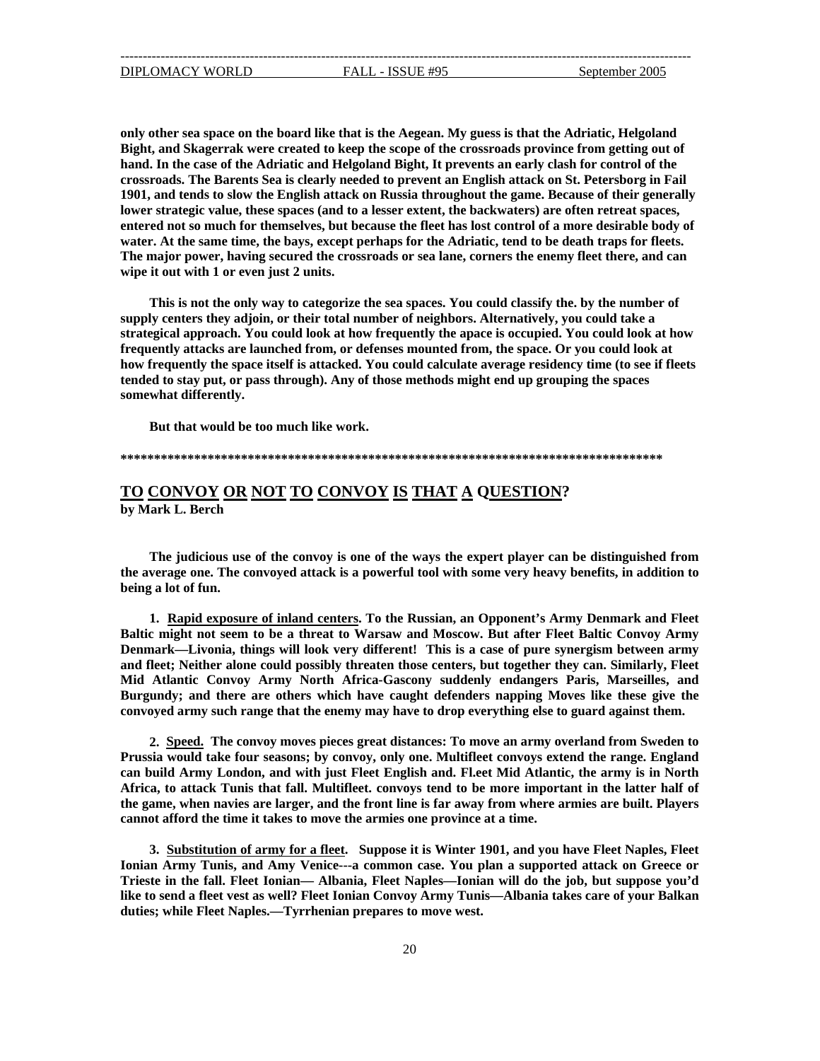<span id="page-19-0"></span>1901, and tends to slow the English attack on Russia throughout the game. Because of their generally **of entered not so much for themselves, but because the fleet has lost control of a more desirable body** water. At the same time, the bays, except perhaps for the Adriatic, tend to be death traps for fleets. **only other sea space on the board like that is the Aegean. My guess is that the Adriatic, Helgoland Bight, and Skagerrak were created to keep the scope of the crossroads province from getting out of hand. In the case of the Adriatic and Helgoland Bight, It prevents an early clash for control of the crossroads. The Barents Sea is clearly needed to prevent an English attack on St. Petersborg in Fail lower strategic value, these spaces (and to a lesser extent, the backwaters) are often retreat spaces, The major power, having secured the crossroads or sea lane, corners the enemy fleet there, and can wipe it out with 1 or even just 2 units.**

This is not the only way to categorize the sea spaces. You could classify the. by the number of **pply centers they adjoin, or their total number of neighbors. Alternatively, you could take a su strat egical approach. You could look at how frequently the apace is occupied. You could look at how frequently attacks are launched from, or defenses mounted from, the space. Or you could look at how frequently the space itself is attacked. You could calculate average residency time (to see if fleets tended to stay put, or pass through). Any of those methods might end up grouping the spaces somewhat differently.** 

**But that would be too much like work.** 

#### **\*\*\*\*\*\*\*\*\*\*\*\*\*\*\*\*\*\*\*\*\*\*\*\*\*\*\*\*\*\*\*\*\*\*\*\*\*\*\*\*\*\*\*\*\*\*\*\*\*\*\*\*\*\*\*\*\*\*\*\*\*\*\*\*\*\*\*\*\*\*\*\*\*\*\*\*\*\*\*\*\***

## **TO CONVOY OR NOT TO CONVOY IS THAT A QUESTION? by Mark L. Berch**

**The judicious use of the convoy is one of the ways the expert player can be distinguished from he average one. The convoyed attack is a powerful tool with some very heavy benefits, in addition to t ein b g a lot of fun.** 

**1. Rapid exposure of inland centers. To the Russian, an Opponent's Army Denmark and Fleet Baltic might not seem to be a threat to Warsaw and Moscow. But after Fleet Baltic Convoy Army Denmark—Livonia, things will look very different! This is a case of pure synergism between army and fleet; Neither alone could possibly threaten those centers, but together they can. Similarly, Fleet Mid Atlantic Convoy Army North Africa-Gascony suddenly endangers Paris, Marseill es, and** Burgundy; and there are others which have caught defenders napping Moves like these give the **convoyed army such range that the enemy may have to drop everything else to guard against them.** 

**2. Speed. The convoy moves pieces great distances: To move an army overland from Sweden to Prussia would take four seasons; by convoy, only one. Multifleet convoys extend the range. England**  can build Army London, and with just Fleet English and. Fl.eet Mid Atlantic, the army is in North Africa, to attack Tunis that fall. Multifleet. convoys tend to be more important in the latter half of the game, when navies are larger, and the front line is far away from where armies are built. Players **annot afford the time it takes to move the armies one province at a time. c**

**3. Substitution of army for a fleet. Suppose it is Winter 1901, and you have Fleet Naples, Fleet Ionian Army Tunis, and Amy Venice---a common case. You plan a supported attack on Greece or Trieste in the fall. Fleet Ionian— Albania, Fleet Naples—Ionian will do the job, but suppose you'd ke to send a fleet vest as well? Fleet Ionian Convoy Army Tunis—Albania takes care of your Balkan li dutie s; while Fleet Naples.—Tyrrhenian prepares to move west.**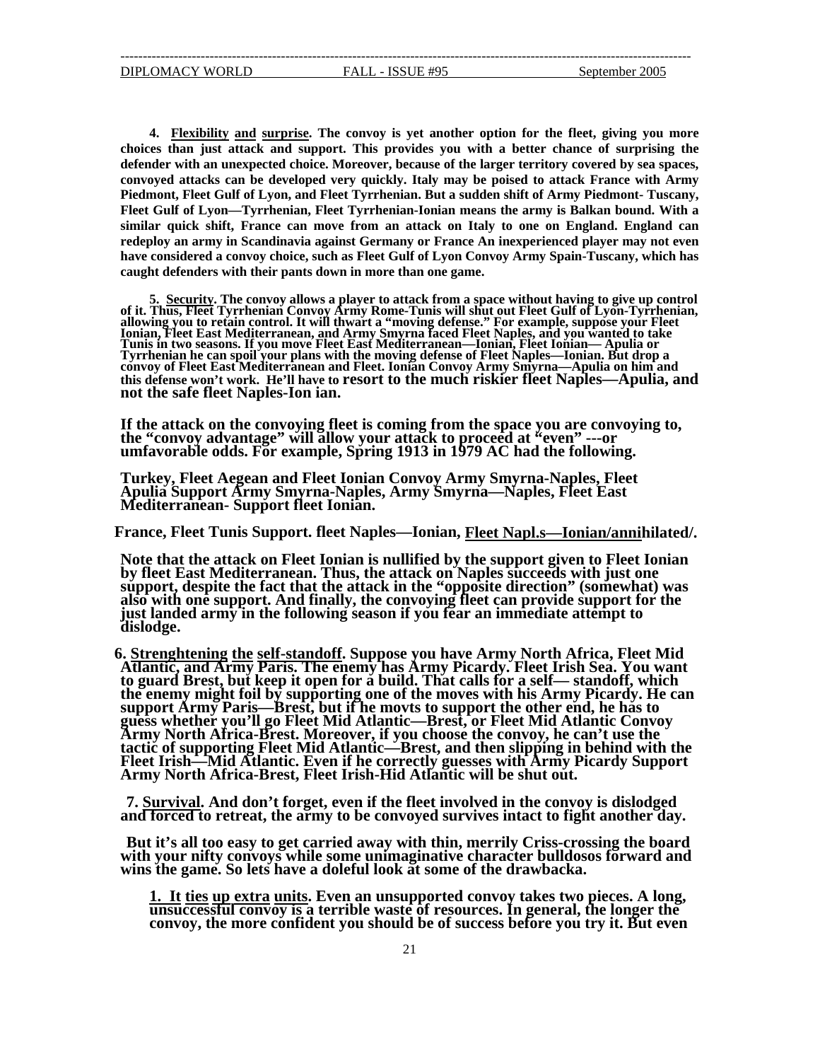**4. Flexibility and surprise. The convoy is yet another option for the fleet, giving you more choices than just attack and support. This provides you with a better chance of surprising the defender with an unexpected choice. Moreover, because of the larger territory covered by sea spaces, convoyed attacks can be developed very quickly. Italy may be poised to attack France with Army Piedmont, Fleet Gulf of Lyon, and Fleet Tyrrhenian. But a sudden shift of Army Piedmont- Tuscany, Fleet Gulf of Lyon—Tyrrhenian, Fleet Tyrrhenian-Ionian means the army is Balkan bound. With a similar quick shift, France can move from an attack on Italy to one on England. England can redeploy an army in Scandinavia against Germany or France An inexperienced player may not even have considered a convoy choice, such as Fleet Gulf of Lyon Convoy Army Spain-Tuscany, which has caught defenders with their pants down in more than one game.** 

**5. Security. The convoy allows a player to attack from a space withou of it. Thus, Fleet Tyrrhenian Convoy Army Rome-Tunis will shut out Flee t having to give up control t Gulf of Lyon-Tyrrhenian, allowing you to retain control. It will thwart a "moving defense." For example, suppose your Fleet Ionia n, Fleet East Mediterranean, and Army Smyrna faced Fleet Naples, and you wanted to take Tunis in two seasons. If you move Fleet East Mediterranean—Ionian, Fleet Ionian— Apulia or Tyrrhenian he can spoil your plans with the moving defense of Fleet Naples—Ionian. But drop a convoy of Fleet East Mediterranean and Fleet. Ionian Convoy Army Smyrna—Apulia on him and this defense won't work. He'll have to resort to the much riskier fleet Naples—Apulia, and not the safe fleet Naples-Ion ian.** 

If the attack on the convoying fleet is coming from the space you are convoying to,<br>the "convoy advantage" will allow your attack to proceed at "even" ---or<br>umfavorable odds. For example, Spring 1913 in 1979 AC had the fol

**Turkey, Fleet Aegean and Fleet Ionian Convoy Army Smyrna-Naples, Fleet Apulia Support Army Smyrna-Naples, Army Smyrna—Naples, Fleet East Mediterranean- Support fleet Ionian.** 

**F rance, Fleet Tunis Support. fleet Naples—Ionian, Fleet Napl.s—Ionian/annihilated/.** 

**Note that the attack on Fleet Ionian is nullified by the support given to Fleet Ionian by fleet East Mediterranean. Thus, the attack on Naples succeeds with just one sup port, despite the fact that the attack in the "opposite direction" (somewhat) was also with one support. And finally, the convoying fleet can provide support for the just landed army in the following season if you fear an immediate attempt to dislodge.** 

**6 . Strenghtening the self-standoff. Suppose you have Army North Africa, Fleet Mid Atlantic, and Army Paris. The enemy has Army Picardy. Fleet Irish Sea. You want to guard Brest, but keep it open for a build. That calls for a self— standoff, which the enemy might foil by supporting one of the moves with his Army Picardy. He can e ith the pport support Army Paris—Brest, but if he movts to support the other end, he has to guess whether you'll go Fleet Mid Atlantic—Brest, or Fleet Mid Atlantic Convoy Army North Africa-Brest. Moreover, if you choose the convoy, he can't use th tactic of supporting Fleet Mid Atlantic—Brest, and then slipping in behind w Fleet Irish—Mid Atlantic. Even if he correctly guesses with Army Picardy Su Army North Africa-Brest, Fleet Irish-Hid Atlantic will be shut out.** 

7. Survival. And don't forget, even if the fleet involved in the convoy is dislodged and forced to retreat, the army to be convoyed survives intact to fight another day.

**But it's all too easy to get carried away with thin, merrily Criss-crossing the board with your nifty convoys while some unimaginative character bulldosos forward and wins the game. So lets have a doleful look at some of the drawbacka.** 

<u>1. It ties up extra units</u>. Even an unsupported convoy takes two pieces. A long,<br>unsuccessful convoy is a terrible waste of resources. In general, the longer the **onvo c y, the more confident you should be of success before you try it. But even**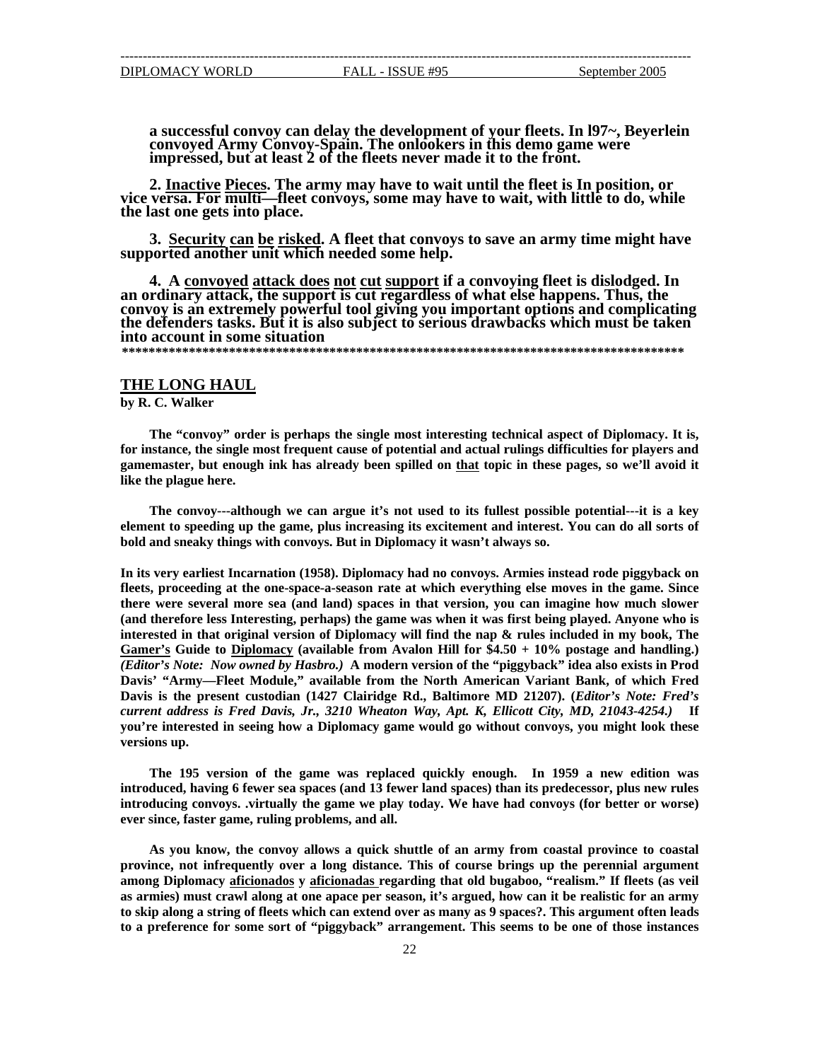<span id="page-21-0"></span>a successful convoy can delay the development of your fleets. In 197~, Beyerlein convoyed Army Convoy-Spain. The onlookers in this demo game were impressed, but at least 2 of the fleets never made it to the front.

**2. Inactive Pieces. The army may have to wait until the fleet is In position, or vice versa. For multi—fleet convoys, some may have to wait, with little to do, while the last one gets into place.** 

**3. Security can be risked. A fleet that convoys to save an army time might have supported another unit which needed some help.** 

**4. A convoyed attack does not cut support if a convoying fleet is dislodged. In an ordinary attack, the support is cut regardless of what else happens. Thus, the convoy is an extremely powerful tool giving you important options and complicating the defenders tasks. But it is also subject to serious drawbacks which must be taken into account in some situation** 

 **\*\*\*\*\*\*\*\*\*\*\*\*\*\*\*\*\*\*\*\*\*\*\*\*\*\*\*\*\*\*\*\*\*\*\*\*\*\*\*\*\*\*\*\*\*\*\*\*\*\*\*\*\*\*\*\*\*\*\*\*\*\*\*\*\*\*\*\*\*\*\*\*\*\*\*\*\*\*\*\*\*\*\*\*** 

#### **THE LONG HAUL**

**. C. Walker by R**

**The "convoy" order is perhaps the single most interesting technical aspect of Diplom acy. It is,**  for instance, the single most frequent cause of potential and actual rulings difficulties for players and gamemaster, but enough ink has already been spilled on that topic in these pages, so we'll avoid it **like the plague here.** 

bold and sneaky things with convoys. But in Diplomacy it wasn't always so. **The convoy---although we can argue it's not used to its fullest possible potential---it is a key element to speeding up the game, plus increasing its excitement and interest. You can do all sorts of**

**n In its very earliest Incarnation (1958). Diplomacy had no convoys. Armies instead rode piggyback o e interested in that original version of Diplomacy will find the nap & rules included in my book, Th** Gamer's Guide to Diplomacy (available from Avalon Hill for \$4.50 + 10% postage and handling.) **fleets, proceeding at the one-space-a-season rate at which everything else moves in the game. Since there were several more sea (and land) spaces in that version, you can imagine how much slower (and therefore less Interesting, perhaps) the game was when it was first being played. Anyone who is** *(Editor's Note: Now owned by Hasbro.)* A modern version of the "piggyback" idea also exists in Prod Davis' "Army—Fleet Module," available from the North American Variant Bank, of which Fred Davis is the present custodian (1427 Clairidge Rd., Baltimore MD 21207). (*Editor's Note: Fred's urre c nt address is Fred Davis, Jr., 3210 Wheaton Way, Apt. K, Ellicott City, MD, 21043-4254.)* **If you're interested in seeing how a Diplomacy game would go without convoys, you might look these versions up.** 

The 195 version of the game was replaced quickly enough. In 1959 a new edition was introduced, having 6 fewer sea spaces (and 13 fewer land spaces) than its predecessor, plus new rules **introducing convoys. .virtually the game we play today. We have had convoys (for better or worse) ever since, faster game, ruling problems, and all.** 

**As you know, the convoy allows a quick shuttle of an army from coastal province to coastal province, not infrequently over a long distance. This of course brings up the perennial argument among Diplomacy aficionados y aficionadas regarding that old bugaboo, "realism." If fleets (as veil as armies) must crawl along at one apace per season, it's argued, how can it be realistic for an army to skip along a string of fleets which can extend over as many as 9 spaces?. This argument often leads to a preference for some sort of "piggyback" arrangement. This seems to be one of those instances**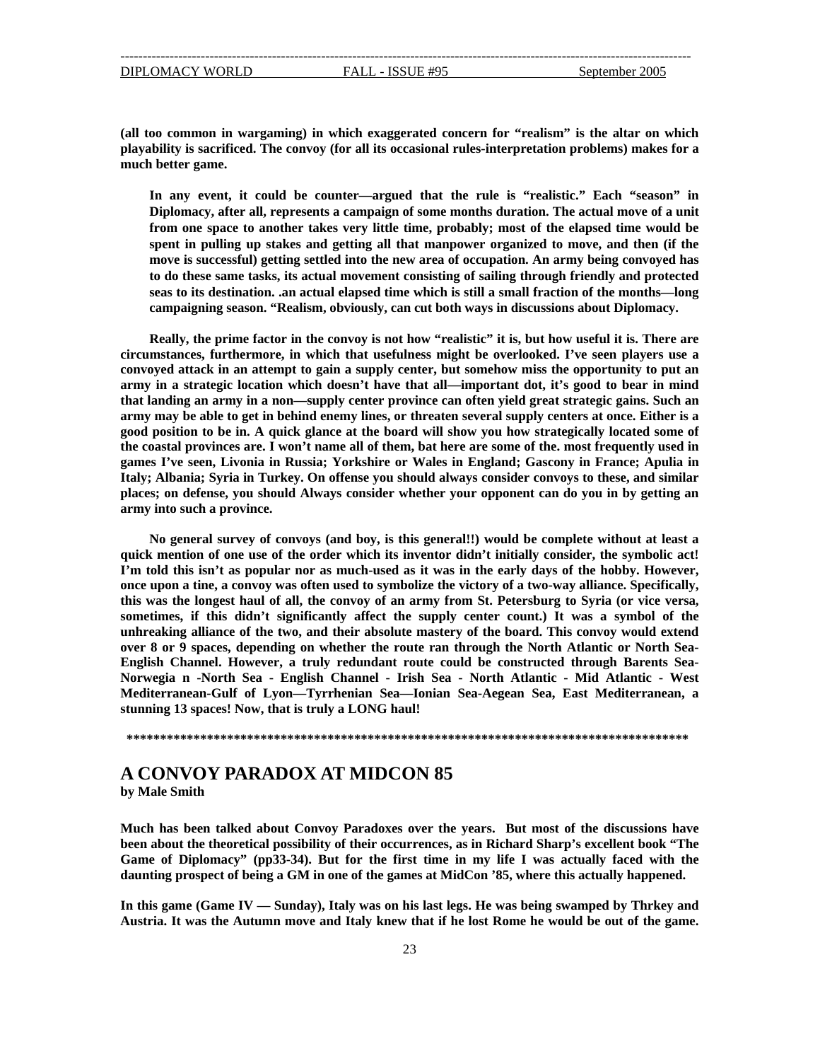<span id="page-22-0"></span>DIPLOMACY WORLD FALL - ISSUE #95

**(all too common in wargaming) in which exaggerated concern for "realism" is the altar on which playability is sacrificed. The convoy (for all its occasional rules-interpretation problems) makes for a much better game.** 

**y, after all, represents a campaign of some months duration. The actual move of a unit Diplomac from one space to another takes very little time, probably; most of the elapsed time would be** seas to its destination. .an actual elapsed time which is still a small fraction of the months—long **In any event, it could be counter—argued that the rule is "realistic." Each "season" in spent in pulling up stakes and getting all that manpower organized to move, and then (if the move is successful) getting settled into the new area of occupation. An army being convoyed has to do these same tasks, its actual movement consisting of sailing through friendly and protected campaigning season. "Realism, obviously, can cut both ways in discussions about Diplomacy.**

**s are. I won't name all of them, bat here are some of the. most frequently used in the coastal province ames I g 've seen, Livonia in Russia; Yorkshire or Wales in England; Gascony in France; Apulia in Italy ; Albania; Syria in Turkey. On offense you should always consider convoys to these, and similar place s; on defense, you should Always consider whether your opponent can do you in by getting an army into such a province. Really, the prime factor in the convoy is not how "realistic" it is, but how useful it is. There are circumstances, furthermore, in which that usefulness might be overlooked. I've seen players use a convoyed attack in an attempt to gain a supply center, but somehow miss the opportunity to put an army in a strategic location which doesn't have that all—important dot, it's good to bear in mind that landing an army in a non—supply center province can often yield great strategic gains. Such an army may be able to get in behind enemy lines, or threaten several supply centers at once. Either is a good position to be in. A quick glance at the board will show you how strategically located some of**

**quic k mention of one use of the order which its inventor didn't initially consider, the symbolic act! I'm told this isn't as popular nor as much-used as it was in the early days of the hobby. However, once , upon a tine, a convoy was often used to symbolize the victory of a two-way alliance. Specifically is was the longest haul of all, the convoy of an army from St. Petersburg to Syria (or vice versa, th some times, if this didn't significantly affect the supply center count.) It was a symbol of the No general survey of convoys (and boy, is this general!!) would be complete without at least a unhreaking alliance of the two, and their absolute mastery of the board. This convoy would extend over 8 or 9 spaces, depending on whether the route ran through the North Atlantic or North Sea-English Channel. However, a truly redundant route could be constructed through Barents Sea-Norwegia n -North Sea - English Channel - Irish Sea - North Atlantic - Mid Atlantic - West Mediterranean-Gulf of Lyon—Tyrrhenian Sea—Ionian Sea-Aegean Sea, East Mediterranean, a stunning 13 spaces! Now, that is truly a LONG haul!** 

**\*\*\*\*\*\*\*\*\*\*\*\*\*\*\*\*\*\*\*\*\*\*\*\*\*\*\*\*\*\*\*\*\*\*\*\*\*\*\*\*\*\*\*\*\*\*\*\*\*\*\*\*\*\*\*\*\*\*\*\*\*\*\*\*\*\*\*\*\*\*\*\*\*\*\*\*\*\*\*\*\*\*\*\*** 

### **A CONVOY PARADOX AT MIDCON 85 by Male Smith**

**Much has been talked about Convoy Paradoxes over the years. But most of the discussions have been about the theoretical possibility of their occurrences, as in Richard Sharp's excellent book "The Game of Diplomacy" (pp33-34). But for the first time in my life I was actually faced with the daunting prospect of being a GM in one of the games at MidCon '85, where this actually happened.** 

**In this game (Game IV — Sunday), Italy was on his last legs. He was being swamped by Thrkey and Austria. It was the Autumn move and Italy knew that if he lost Rome he would be out of the game.**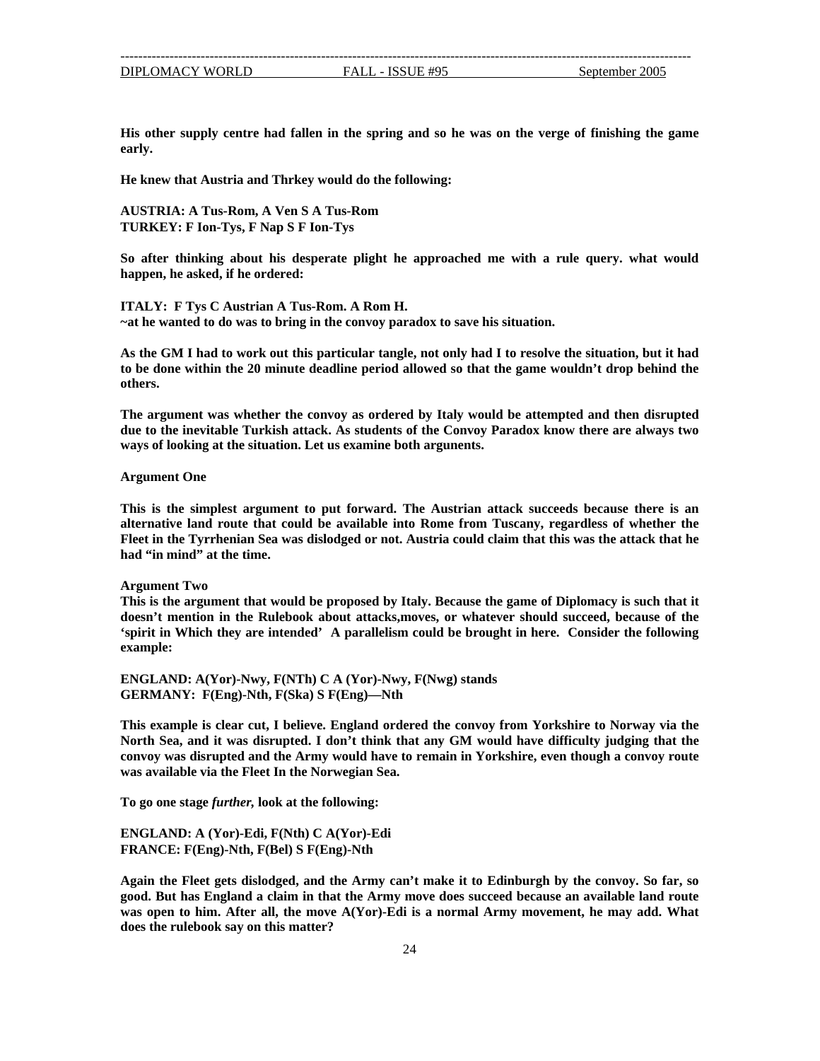| DIPLOMACY WORLD |  |
|-----------------|--|

FALL - ISSUE #95 September 2005

**His other supply centre had fallen in the spring and so he was on the verge of finishing the game early.** 

**ing: He knew that Austria and Thrkey would do the follow**

**A USTRIA: A Tus-Rom, A Ven S A Tus-Rom TURKEY: F Ion-Tys, F Nap S F Ion-Tys** 

So after thinking about his desperate plight he approached me with a rule query. what would **happen, he asked, if he ordered:** 

**ITALY: F Tys C Austrian A Tus-Rom. A Rom H. ~at he wanted to do was to bring in the convoy paradox to save his situation.**

**d As the GM I had to work out this particular tangle, not only had I to resolve the situation, but it ha to be done within the 20 minute deadline period allowed so that the game wouldn't drop behind the others.** 

**the inevitable Turkish attack. As students of the Convoy Paradox know there are always two due to** ways of looking at the situation. Let us examine both argunents. **The argument was whether the convoy as ordered by Italy would be attempted and then disrupted**

**Argument One** 

This is the simplest argument to put forward. The Austrian attack succeeds because there is an **alternative land route that could be available into Rome from Tuscany, regardless of whether the Fleet in the Tyrrhenian Sea was dislodged or not. Austria could claim that this was the attack that he had "in mind" at the time.** 

#### **Argument Two**

This is the argument that would be proposed by Italy. Because the game of Diplomacy is such that it **doesn't mention in the Rulebook about attacks,moves, or whatever should succeed, because of the 'spirit in Which they are intended' A parallelism could be brought in here. Consider the following example:** 

**ENGLAND: A(Yor)-Nwy, F(NTh) C A (Yor)-Nwy, F(Nwg) stands GERMANY: F(Eng)-Nth, F(Ska) S F(Eng)—Nth**

**from Yorkshire to Norway via the This example is clear cut, I believe. England ordered the convoy** North Sea, and it was disrupted. I don't think that any GM would have difficulty judging that the **upted and the Army would have to remain in Yorkshire, even though a convoy route convoy was disr was available via the Fleet In the Norwegian Sea.**

**To go one stage** *further,* **look at the following:**

**(Nth) C A(Yor)-Edi ENGLAND: A (Yor)-Edi, F g)-Nth, F(Bel) S F(Eng)-Nth FRANCE: F(En**

does the rulebook say on this matter? **Again the Fleet gets dislodged, and the Army can't make it to Edinburgh by the convoy. So far, so good. But has England a claim in that the Army move does succeed because an available land route was open to him. After all, the move A(Yor)-Edi is a normal Army movement, he may add. What**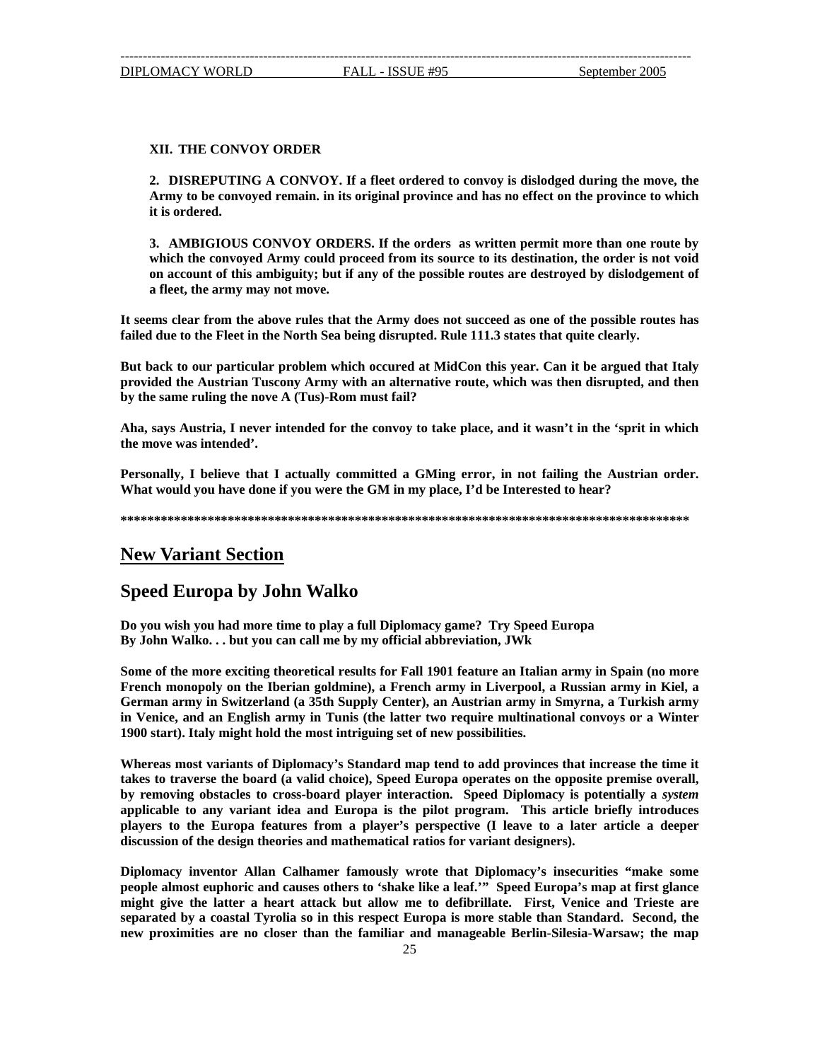### <span id="page-24-0"></span>**XII. THE CONVOY ORDER**

**2. DISREPUTING A CONVOY. If a fleet ordered to convoy is dislodged during the move, the Army to be convoyed remain. in its original province and has no effect on the province to which it is ordered.** 

**3. AMBIGIOUS CONVOY ORDERS. If the orders as written permit more than one route by which the convoyed Army could proceed from its source to its destination, the order is not void f the possible routes are destroyed by dislodgement of on account of this ambiguity; but if any o a fleet, the army may not move.** 

It seems clear from the above rules that the Army does not succeed as one of the possible routes has failed due to the Fleet in the North Sea being disrupted. Rule 111.3 states that quite clearly.

**om must fail? by the same ruling the nove A (Tus)-R But back to our particular problem which occured at MidCon this year. Can it be argued that Italy provided the Austrian Tuscony Army with an alternative route, which was then disrupted, and then** 

Aha, says Austria, I never intended for the convoy to take place, and it wasn't in the 'sprit in which **e move was intended'. th**

**Pers onally, I believe that I actually committed a GMing error, in not failing the Austrian order. Wha ve done if you were the GM in my place, I'd be Interested to hear? t would you ha**

**\*\*\*\* \*\*\*\*\*\*\*\*\*\*\*\*\*\*\*\*\*\*\*\*\*\*\*\*\*\*\*\*\*\*\*\*\*\*\*\*\*\*\*\*\*\*\*\*\*\*\*\*\*\*\*\*\*\*\*\*\*\*\*\*\*\*\*\*\*\*\*\*\*\*\*\*\*\*\*\*\*\*\*\*\***

## **New Variant Section**

### **Speed Europa by John Walko**

**Do you wish you had more time to play a full Diplomacy game? Try Speed Europa By John Walko. . . but you can call me by my official abbreviation, JWk** 

**Some of the more exciting theoretical results for Fall 1901 feature an Italian army in Spain (no more French monopoly on the Iberian goldmine), a French army in Liverpool, a Russian army in Kiel, a**  1900 start). Italy might hold the most intriguing set of new possibilities. **German army in Switzerland (a 35th Supply Center), an Austrian army in Smyrna, a Turkish army in Venice, and an English army in Tunis (the latter two require multinational convoys or a Winter** 

**overall, takes to traverse the board (a valid choice), Speed Europa operates on the opposite premise**  players to the Europa features from a player's perspective (I leave to a later article a deeper discussion of the design theories and mathematical ratios for variant designers). **Whereas most variants of Diplomacy's Standard map tend to add provinces that increase the time it by removing obstacles to cross-board player interaction. Speed Diplomacy is potentially a** *system* **applicable to any variant idea and Europa is the pilot program. This article briefly introduces** 

**ously wrote that Diplomacy's insecurities "make some Diplomacy inventor Allan Calhamer fam eople almost euphoric and causes others to 'shake like a leaf.'" Speed Europa's map at first glance p and Trieste are might give the latter a heart attack but allow me to defibrillate. First, Venice han Standard. Second, the separated by a coastal Tyrolia so in this respect Europa is more stable tnew proximities are no closer than the familiar and manageable Berlin-Silesia-Warsaw; the map**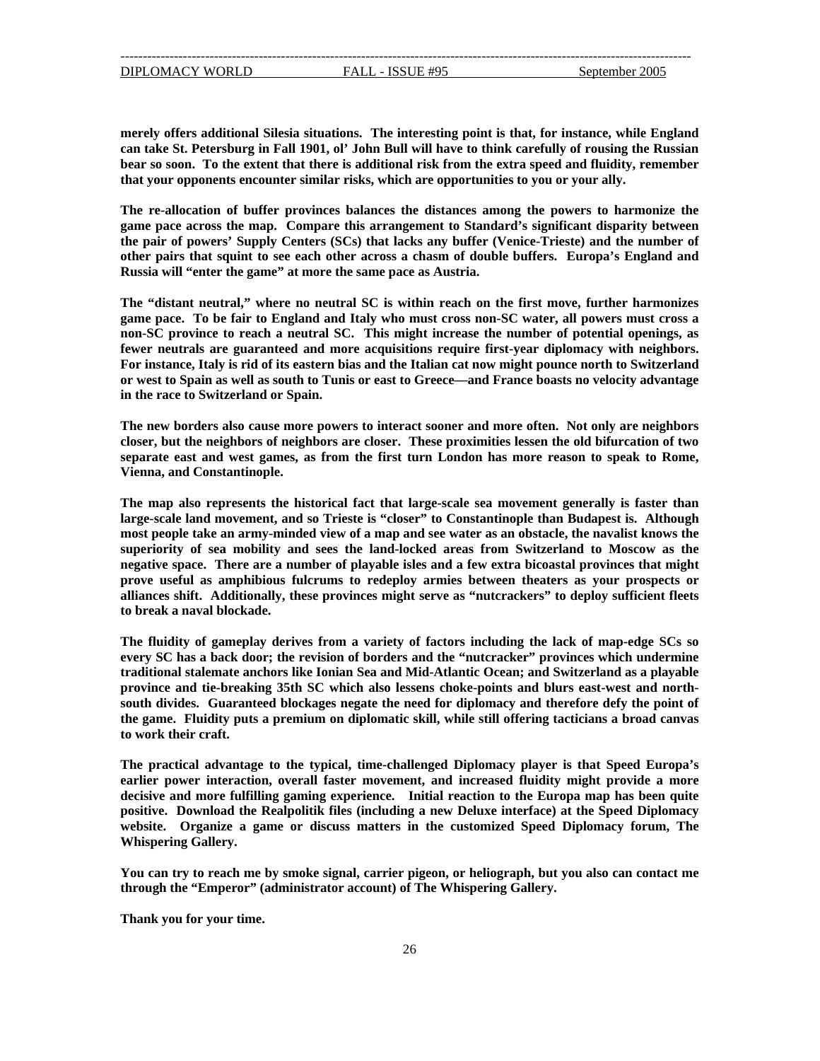DIPLOMACY WORLD FALL - ISSUE #95

--------------------------------------------------------------------------------------------------------------------------------

**erely offers additional Silesia situations. The interesting point is that, for instance, while England m can take St. Petersburg in Fall 1901, ol' John Bull will have to think carefully of rousing the Russian bear so soon. To the extent that there is additional risk from the extra speed and fluidity, remember that your opponents encounter similar risks, which are opportunities to you or your ally.** 

**e powers to harmonize the The re-allocation of buffer provinces balances the distances among th ame pace across the map. Compare this arrangement to Standard's significant disparity between g the pair of powers' Supply Centers (SCs) that lacks any buffer (Venice-Trieste) and the number of other pairs that squint to see each other across a chasm of double buffers. Europa's England and Russia will "enter the game" at more the same pace as Austria.**

**powers must cross a game pace. To be fair to England and Italy who must cross non-SC water, all on-SC province to reach a neutral SC. This might increase the number of potential openings, as n The "distant neutral," where no neutral SC is within reach on the first move, further harmonizes fewer neutrals are guaranteed and more acquisitions require first-year diplomacy with neighbors. For instance, Italy is rid of its eastern bias and the Italian cat now might pounce north to Switzerland or west to Spain as well as south to Tunis or east to Greece—and France boasts no velocity advantage in the race to Switzerland or Spain.** 

**The new borders also cause more powers to interact sooner and more often. Not only are neighbors closer, but the neighbors of neighbors are closer. These proximities lessen the old bifurcation of two separate east and west games, as from the first turn London has more reason to speak to Rome, Vienna, and Constantinople.**

**negative space. There are a number of playable isles and a few extra bicoastal provinces that might rove useful as amphibious fulcrums to redeploy armies between theaters as your prospects or p The map also represents the historical fact that large-scale sea movement generally is faster than large-scale land movement, and so Trieste is "closer" to Constantinople than Budapest is. Although most people take an army-minded view of a map and see water as an obstacle, the navalist knows the superiority of sea mobility and sees the land-locked areas from Switzerland to Moscow as the alliances shift. Additionally, these provinces might serve as "nutcrackers" to deploy sufficient fleets to break a naval blockade.** 

province and tie-breaking 35th SC which also lessens choke-points and blurs east-west and north**uth divides. Guaranteed blockages negate the need for diplomacy and therefore defy the point of so The fluidity of gameplay derives from a variety of factors including the lack of map-edge SCs so every SC has a back door; the revision of borders and the "nutcracker" provinces which undermine traditional stalemate anchors like Ionian Sea and Mid-Atlantic Ocean; and Switzerland as a playable the game. Fluidity puts a premium on diplomatic skill, while still offering tacticians a broad canvas to work their craft.** 

**he typical, time-challenged Diplomacy player is that Speed Europa's The practical advantage to t arlier power interaction, overall faster movement, and increased fluidity might provide a more e decisive and more fulfilling gaming experience. Initial reaction to the Europa map has been quite positive. Download the Realpolitik files (including a new Deluxe interface) at the Speed Diplomacy website. Organize a game or discuss matters in the customized Speed Diplomacy forum, The Whispering Gallery.** 

**You can try to reach me by smoke signal, carrier pigeon, or heliograph, but you also can contact me through the "Emperor" (administrator account) of The Whispering Gallery.** 

**hank you for your time. T**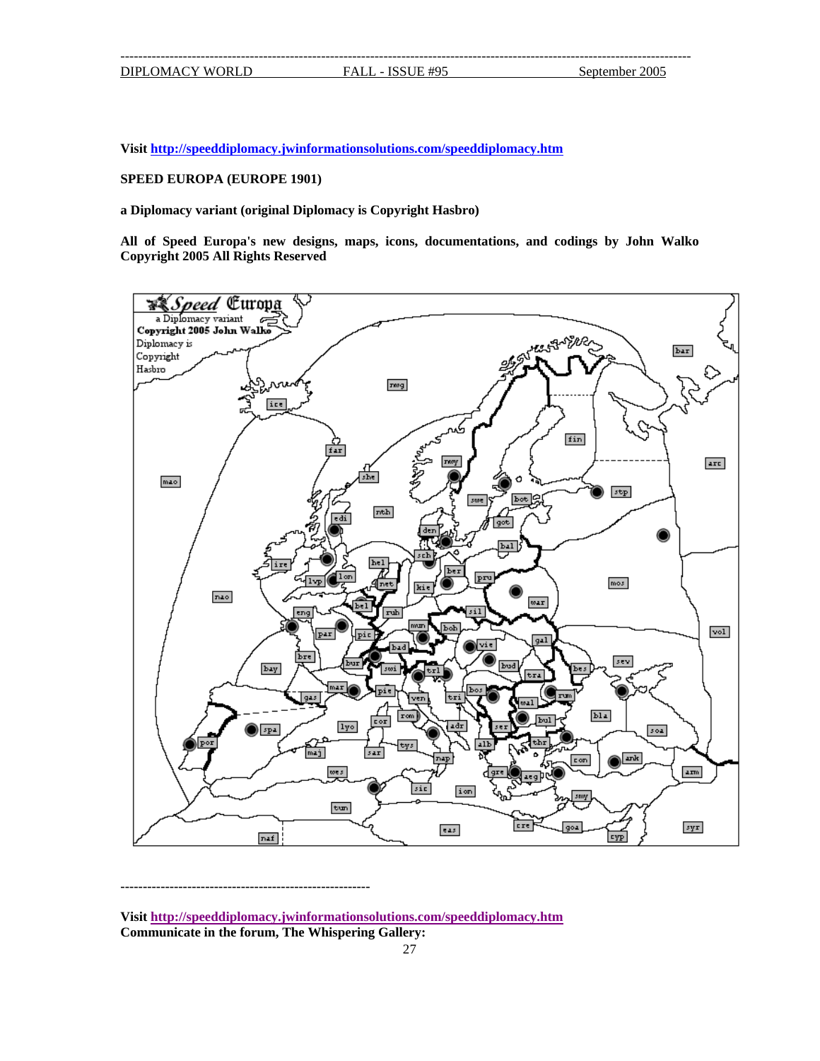**Visit http://speeddiplomacy.jwinformationsolutions.com/speeddiplomacy.htm**

### **SPEED EUROPA (EUROPE 1901)**

**a Diplomacy variant (original Diplomacy is Copyright Hasbro)** 

**All of Speed Europa's new designs, maps, icons, documentations, and codings by John Walko Copyright 2005 All Rights Reserved** 



**<sup>--------------------------------------------------------</sup>** 

**Visit http://speeddiplomacy.jwinformationsolutions.com/speeddiplomacy.htm Communicate in the forum, The Whispering Gallery:**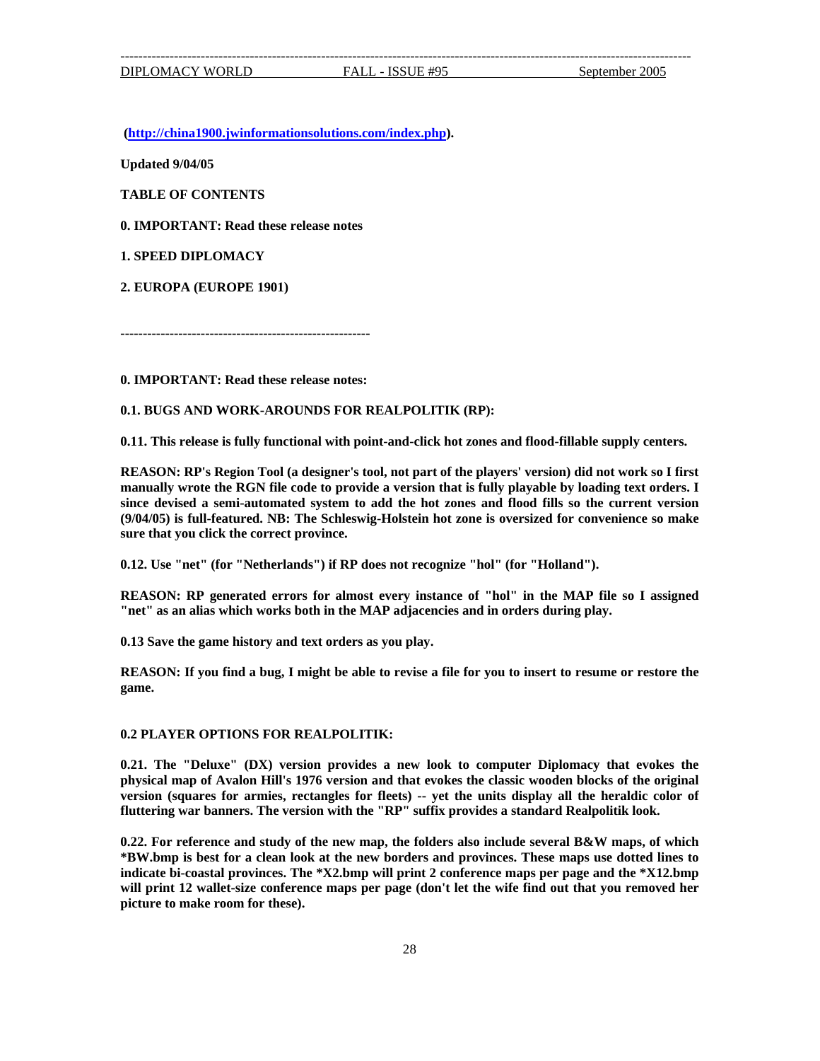**(http://china1900.jwinformationsolutions.com/index.php).** 

**Updated 9/04/05** 

**TABLE OF CONTENTS** 

**0. IMPORTANT: Read these release notes** 

**1. SPEED DIPLOMACY** 

**2. EUROPA (EUROPE 1901)** 

**--------------------------------------------------------** 

**0. IMPORTANT: Read these release notes:** 

**0.1. BUGS AND WORK-AROUNDS FOR REALPOLITIK (RP):** 

**0.11. This release is fully functional with point-and-click hot zones and flood-fillable supply centers.** 

**REASON: RP's Region Tool (a designer's tool, not part of the players' version) did not work so I first manually wrote the RGN file code to provide a version that is fully playable by loading text orders. I since devised a semi-automated system to add the hot zones and flood fills so the current version (9/04/05) is full-featured. NB: The Schleswig-Holstein hot zone is oversized for convenience so make sure that you click the correct province.** 

**0.12. Use "net" (for "Netherlands") if RP does not recognize "hol" (for "Holland").** 

**REASON: RP generated errors for almost every instance of "hol" in the MAP file so I assigned "net" as an alias which works both in the MAP adjacencies and in orders during play.** 

**0.13 Save the game history and text orders as you play.**

**REASON: If you find a bug, I might be able to revise a file for you to insert to resume or restore the game.** 

#### **K: 0.2 PLAYER OPTIONS FOR REALPOLITI**

**0.21.** The "Deluxe" (DX) version provides a new look to computer Diplomacy that evokes the **okes the classic wooden blocks of the original physical map of Avalon Hill's 1976 version and that ev version** (squares for armies, rectangles for fleets) -- yet the units display all the heraldic color of **uttering war banners. The version with the "RP" suffix provides a standard Realpolitik look. fl**

**.22. For reference and study of the new map, the folders also include several B&W maps, of which 0 an look at the new borders and provinces. These maps use dotted lines to \*BW.bmp is best for a cle dicate bi-coastal provinces. The \*X2.bmp will print 2 conference maps per page and the \*X12.bmp in** will print 12 wallet-size conference maps per page (don't let the wife find out that you removed her **icture to make room for these). p**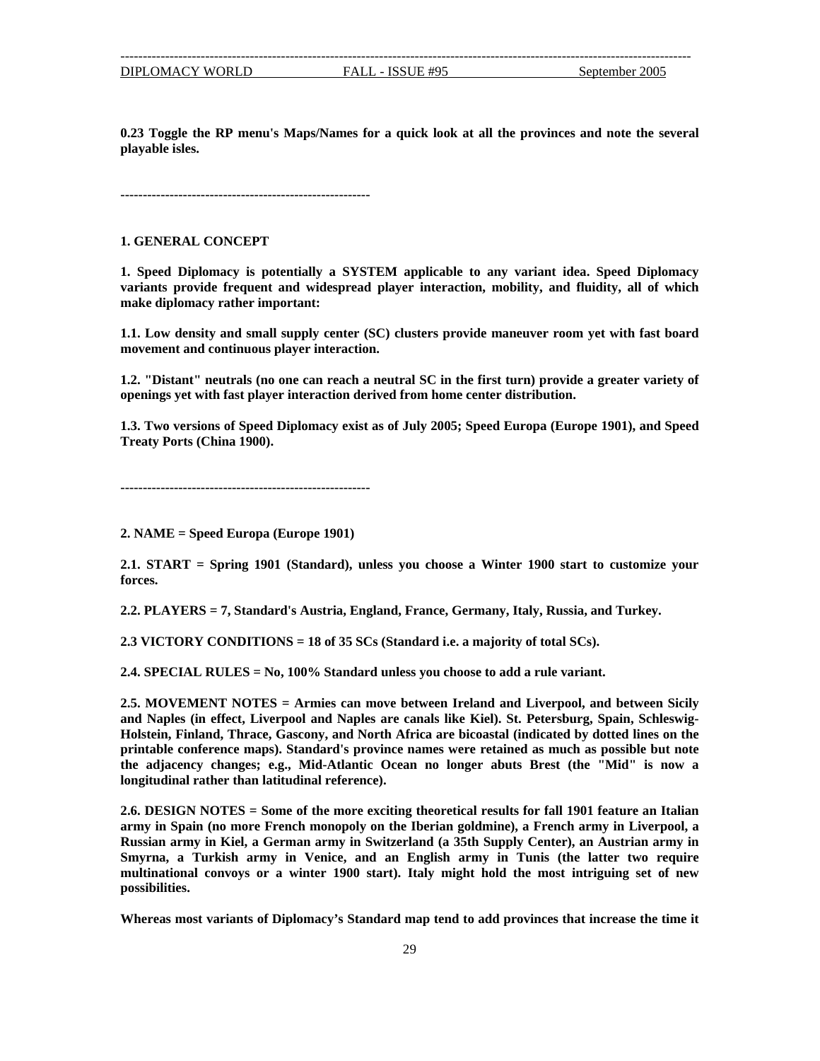--------------------------------------------------------------------------------------------------------------------------------

**0.23 Toggle the RP menu's Maps/Names for a quick look at all the provinces and note the several layable isles. p**

**------------------------------------------------------ --**

#### **. GENERAL CONCEPT 1**

**. Speed Diplomacy is potentially a SYSTEM applicable to any variant idea. Speed Diplomacy 1** make diplomacy rather important: **variants provide frequent and widespread player interaction, mobility, and fluidity, all of which**

**1.1. Low density and small supply center (SC) clusters provide maneuver room yet with fast board movement and continuous player interaction.** 

1.2. "Distant" neutrals (no one can reach a neutral SC in the first turn) provide a greater variety of **penings yet with fast player interaction derived from home center distribution. o**

**.3. Two versions of Speed Diplomacy exist as of July 2005; Speed Europa (Europe 1901), and Speed 1 Treaty Ports (China 1900).**

**--------------------------------------------------------** 

2. NAME = Speed Europa (Europe 1901)

**.1. START = Spring 1901 (Standard), unless you choose a Winter 1900 start to customize your 2 forces.** 

**2.2. PLAYERS = 7, Standard's Austria, England, France, Germany, Italy, Russia, and Turkey.** 

**2.3 VICTORY CONDITIONS = 18 of 35 SCs (Standard i.e. a majority of total SCs).** 

**.4. SPECIAL RULES = No, 100% Standard unless you choose to add a rule variant. 2**

**dard's province names were retained as much as possible but note printable conference maps). Stan e adjacency changes; e.g., Mid-Atlantic Ocean no longer abuts Brest (the "Mid" is now a th 2.5. MOVEMENT NOTES = Armies can move between Ireland and Liverpool, and between Sicily and Naples (in effect, Liverpool and Naples are canals like Kiel). St. Petersburg, Spain, Schleswig-Holstein, Finland, Thrace, Gascony, and North Africa are bicoastal (indicated by dotted lines on the longitudinal rather than latitudinal reference).** 

**.6. DESIGN NOTES = Some of the more exciting theoretical results for fall 1901 feature an Italian 2** army in Spain (no more French monopoly on the Iberian goldmine), a French army in Liverpool, a Russian army in Kiel, a German army in Switzerland (a 35th Supply Center), an Austrian army in **myrna, a Turkish army in Venice, and an English army in Tunis (the latter two require S ultinational convoys or a winter 1900 start). Italy might hold the most intriguing set of new m possibilities.** 

**Whereas most variants of Diplomacy's Standard map tend to add provinces that increase the time it**